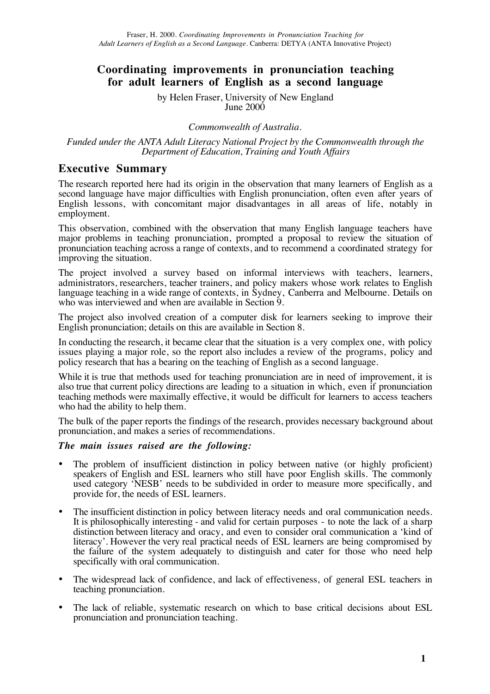## **Coordinating improvements in pronunciation teaching for adult learners of English as a second language**

by Helen Fraser, University of New England June  $2000$ 

*Commonwealth of Australia.*

*Funded under the ANTA Adult Literacy National Project by the Commonwealth through the Department of Education, Training and Youth Affairs*

## **Executive Summary**

The research reported here had its origin in the observation that many learners of English as a second language have major difficulties with English pronunciation, often even after years of English lessons, with concomitant major disadvantages in all areas of life, notably in employment.

This observation, combined with the observation that many English language teachers have major problems in teaching pronunciation, prompted a proposal to review the situation of pronunciation teaching across a range of contexts, and to recommend a coordinated strategy for improving the situation.

The project involved a survey based on informal interviews with teachers, learners, administrators, researchers, teacher trainers, and policy makers whose work relates to English language teaching in a wide range of contexts, in Sydney, Canberra and Melbourne. Details on who was interviewed and when are available in Section 9.

The project also involved creation of a computer disk for learners seeking to improve their English pronunciation; details on this are available in Section 8.

In conducting the research, it became clear that the situation is a very complex one, with policy issues playing a major role, so the report also includes a review of the programs, policy and policy research that has a bearing on the teaching of English as a second language.

While it is true that methods used for teaching pronunciation are in need of improvement, it is also true that current policy directions are leading to a situation in which, even if pronunciation teaching methods were maximally effective, it would be difficult for learners to access teachers who had the ability to help them.

The bulk of the paper reports the findings of the research, provides necessary background about pronunciation, and makes a series of recommendations.

### *The main issues raised are the following:*

- The problem of insufficient distinction in policy between native (or highly proficient) speakers of English and ESL learners who still have poor English skills. The commonly used category 'NESB' needs to be subdivided in order to measure more specifically, and provide for, the needs of ESL learners.
- The insufficient distinction in policy between literacy needs and oral communication needs. It is philosophically interesting - and valid for certain purposes - to note the lack of a sharp distinction between literacy and oracy, and even to consider oral communication a 'kind of literacy'. However the very real practical needs of ESL learners are being compromised by the failure of the system adequately to distinguish and cater for those who need help specifically with oral communication.
- The widespread lack of confidence, and lack of effectiveness, of general ESL teachers in teaching pronunciation.
- The lack of reliable, systematic research on which to base critical decisions about ESL pronunciation and pronunciation teaching.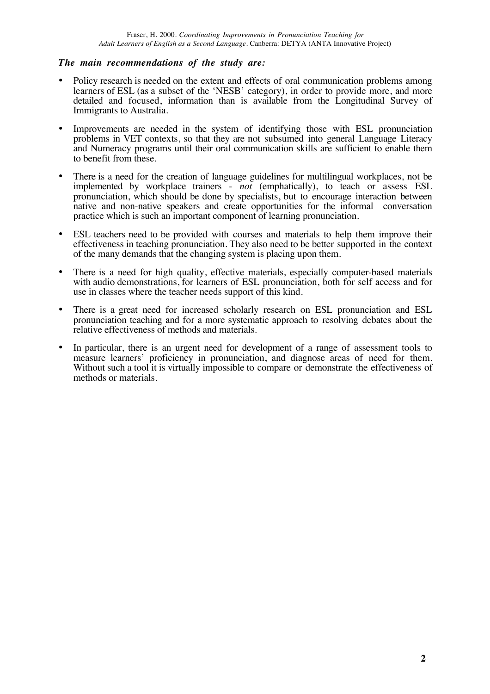### *The main recommendations of the study are:*

- Policy research is needed on the extent and effects of oral communication problems among learners of ESL (as a subset of the 'NESB' category), in order to provide more, and more detailed and focused, information than is available from the Longitudinal Survey of Immigrants to Australia.
- Improvements are needed in the system of identifying those with ESL pronunciation problems in VET contexts, so that they are not subsumed into general Language Literacy and Numeracy programs until their oral communication skills are sufficient to enable them to benefit from these.
- There is a need for the creation of language guidelines for multilingual workplaces, not be implemented by workplace trainers - *not* (emphatically), to teach or assess ESL pronunciation, which should be done by specialists, but to encourage interaction between native and non-native speakers and create opportunities for the informal conversation practice which is such an important component of learning pronunciation.
- ESL teachers need to be provided with courses and materials to help them improve their effectiveness in teaching pronunciation. They also need to be better supported in the context of the many demands that the changing system is placing upon them.
- There is a need for high quality, effective materials, especially computer-based materials with audio demonstrations, for learners of ESL pronunciation, both for self access and for use in classes where the teacher needs support of this kind.
- There is a great need for increased scholarly research on ESL pronunciation and ESL pronunciation teaching and for a more systematic approach to resolving debates about the relative effectiveness of methods and materials.
- In particular, there is an urgent need for development of a range of assessment tools to measure learners' proficiency in pronunciation, and diagnose areas of need for them. Without such a tool it is virtually impossible to compare or demonstrate the effectiveness of methods or materials.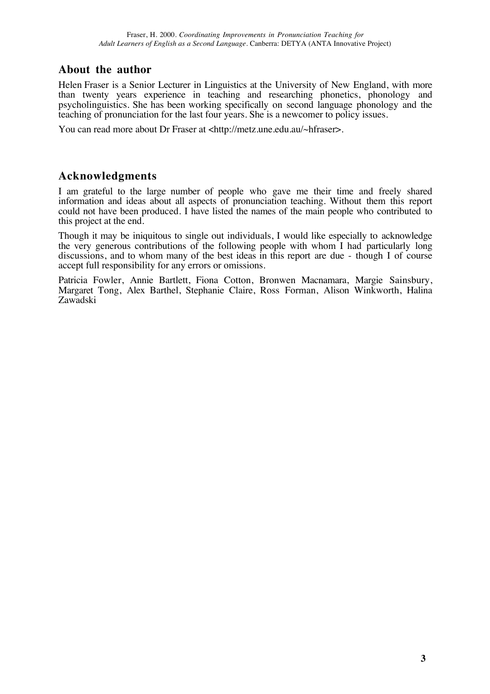## **About the author**

Helen Fraser is a Senior Lecturer in Linguistics at the University of New England, with more than twenty years experience in teaching and researching phonetics, phonology and psycholinguistics. She has been working specifically on second language phonology and the teaching of pronunciation for the last four years. She is a newcomer to policy issues.

You can read more about Dr Fraser at <http://metz.une.edu.au/~hfraser>.

## **Acknowledgments**

I am grateful to the large number of people who gave me their time and freely shared information and ideas about all aspects of pronunciation teaching. Without them this report could not have been produced. I have listed the names of the main people who contributed to this project at the end.

Though it may be iniquitous to single out individuals, I would like especially to acknowledge the very generous contributions of the following people with whom I had particularly long discussions, and to whom many of the best ideas in this report are due - though I of course accept full responsibility for any errors or omissions.

Patricia Fowler, Annie Bartlett, Fiona Cotton, Bronwen Macnamara, Margie Sainsbury, Margaret Tong, Alex Barthel, Stephanie Claire, Ross Forman, Alison Winkworth, Halina Zawadski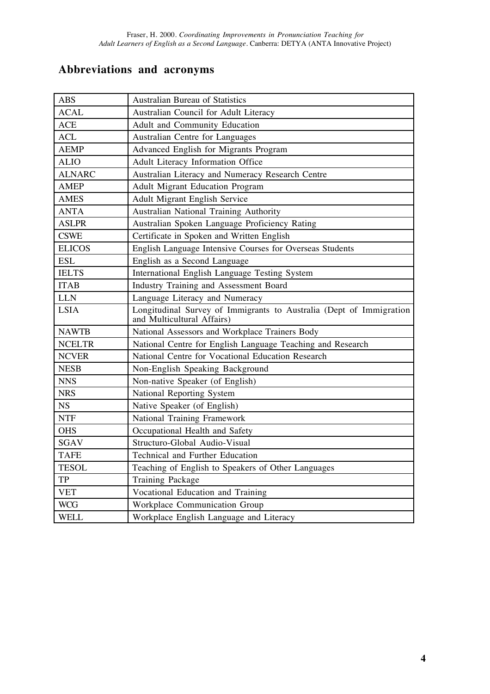| <b>ABS</b>    | Australian Bureau of Statistics                                                                   |  |  |
|---------------|---------------------------------------------------------------------------------------------------|--|--|
| <b>ACAL</b>   | Australian Council for Adult Literacy                                                             |  |  |
| <b>ACE</b>    | Adult and Community Education                                                                     |  |  |
| <b>ACL</b>    | Australian Centre for Languages                                                                   |  |  |
| <b>AEMP</b>   | Advanced English for Migrants Program                                                             |  |  |
| <b>ALIO</b>   | Adult Literacy Information Office                                                                 |  |  |
| <b>ALNARC</b> | Australian Literacy and Numeracy Research Centre                                                  |  |  |
| <b>AMEP</b>   | Adult Migrant Education Program                                                                   |  |  |
| <b>AMES</b>   | Adult Migrant English Service                                                                     |  |  |
| <b>ANTA</b>   | Australian National Training Authority                                                            |  |  |
| <b>ASLPR</b>  | Australian Spoken Language Proficiency Rating                                                     |  |  |
| <b>CSWE</b>   | Certificate in Spoken and Written English                                                         |  |  |
| <b>ELICOS</b> | English Language Intensive Courses for Overseas Students                                          |  |  |
| <b>ESL</b>    | English as a Second Language                                                                      |  |  |
| <b>IELTS</b>  | International English Language Testing System                                                     |  |  |
| <b>ITAB</b>   | Industry Training and Assessment Board                                                            |  |  |
| <b>LLN</b>    | Language Literacy and Numeracy                                                                    |  |  |
| <b>LSIA</b>   | Longitudinal Survey of Immigrants to Australia (Dept of Immigration<br>and Multicultural Affairs) |  |  |
| <b>NAWTB</b>  | National Assessors and Workplace Trainers Body                                                    |  |  |
| <b>NCELTR</b> | National Centre for English Language Teaching and Research                                        |  |  |
| <b>NCVER</b>  | National Centre for Vocational Education Research                                                 |  |  |
| <b>NESB</b>   | Non-English Speaking Background                                                                   |  |  |
| <b>NNS</b>    | Non-native Speaker (of English)                                                                   |  |  |
| <b>NRS</b>    | National Reporting System                                                                         |  |  |
| <b>NS</b>     | Native Speaker (of English)                                                                       |  |  |
| <b>NTF</b>    | National Training Framework                                                                       |  |  |
| <b>OHS</b>    | Occupational Health and Safety                                                                    |  |  |
| <b>SGAV</b>   | Structuro-Global Audio-Visual                                                                     |  |  |
| <b>TAFE</b>   | Technical and Further Education                                                                   |  |  |
| <b>TESOL</b>  | Teaching of English to Speakers of Other Languages                                                |  |  |
| TP            | Training Package                                                                                  |  |  |
| <b>VET</b>    | Vocational Education and Training                                                                 |  |  |
| <b>WCG</b>    | Workplace Communication Group                                                                     |  |  |
| <b>WELL</b>   | Workplace English Language and Literacy                                                           |  |  |

# **Abbreviations and acronyms**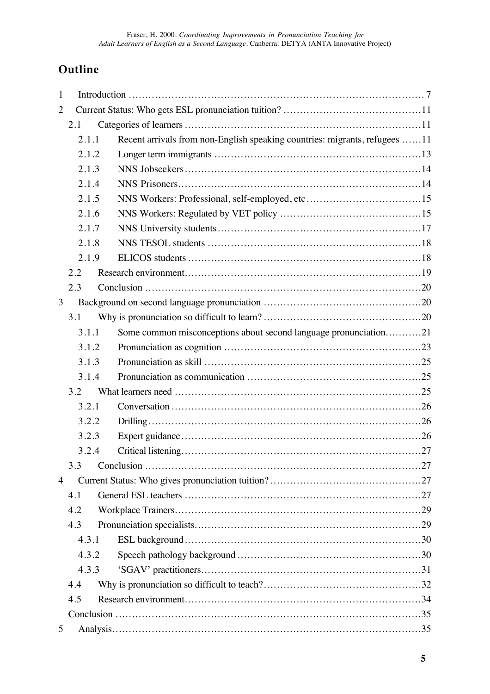# **Outline**

| $\mathbf{1}$   |       |  |                                                                            |  |
|----------------|-------|--|----------------------------------------------------------------------------|--|
| $\overline{2}$ |       |  |                                                                            |  |
|                | 2.1   |  |                                                                            |  |
|                | 2.1.1 |  | Recent arrivals from non-English speaking countries: migrants, refugees 11 |  |
|                | 2.1.2 |  |                                                                            |  |
|                | 2.1.3 |  |                                                                            |  |
|                | 2.1.4 |  |                                                                            |  |
|                | 2.1.5 |  |                                                                            |  |
|                | 2.1.6 |  |                                                                            |  |
|                | 2.1.7 |  |                                                                            |  |
|                | 2.1.8 |  |                                                                            |  |
|                | 2.1.9 |  |                                                                            |  |
|                | 2.2   |  |                                                                            |  |
|                | 2.3   |  |                                                                            |  |
| $\overline{3}$ |       |  |                                                                            |  |
|                | 3.1   |  |                                                                            |  |
|                | 3.1.1 |  | Some common misconceptions about second language pronunciation21           |  |
|                | 3.1.2 |  |                                                                            |  |
|                | 3.1.3 |  |                                                                            |  |
|                | 3.1.4 |  |                                                                            |  |
|                | 3.2   |  |                                                                            |  |
|                | 3.2.1 |  |                                                                            |  |
|                | 3.2.2 |  |                                                                            |  |
|                | 3.2.3 |  |                                                                            |  |
|                | 3.2.4 |  |                                                                            |  |
|                | 3.3   |  |                                                                            |  |
| 4              |       |  |                                                                            |  |
|                | 4.1   |  |                                                                            |  |
|                | 4.2   |  |                                                                            |  |
|                | 4.3   |  |                                                                            |  |
|                | 4.3.1 |  |                                                                            |  |
|                | 4.3.2 |  |                                                                            |  |
|                | 4.3.3 |  |                                                                            |  |
|                | 4.4   |  |                                                                            |  |
|                | 4.5   |  |                                                                            |  |
|                |       |  |                                                                            |  |
| 5              |       |  |                                                                            |  |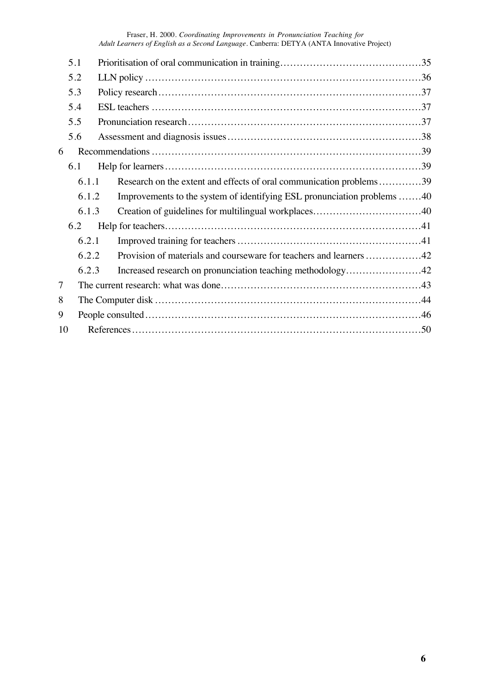|    | 5.1   |                                                                         |  |  |
|----|-------|-------------------------------------------------------------------------|--|--|
|    | 5.2   |                                                                         |  |  |
|    | 5.3   |                                                                         |  |  |
|    | 5.4   |                                                                         |  |  |
|    | 5.5   |                                                                         |  |  |
|    | 5.6   |                                                                         |  |  |
| 6  |       |                                                                         |  |  |
|    | 6.1   |                                                                         |  |  |
|    | 6.1.1 | Research on the extent and effects of oral communication problems39     |  |  |
|    | 6.1.2 | Improvements to the system of identifying ESL pronunciation problems 40 |  |  |
|    | 6.1.3 |                                                                         |  |  |
|    | 6.2   |                                                                         |  |  |
|    | 6.2.1 |                                                                         |  |  |
|    | 6.2.2 |                                                                         |  |  |
|    | 6.2.3 | Increased research on pronunciation teaching methodology42              |  |  |
| 7  |       |                                                                         |  |  |
| 8  |       |                                                                         |  |  |
| 9  |       |                                                                         |  |  |
| 10 |       |                                                                         |  |  |
|    |       |                                                                         |  |  |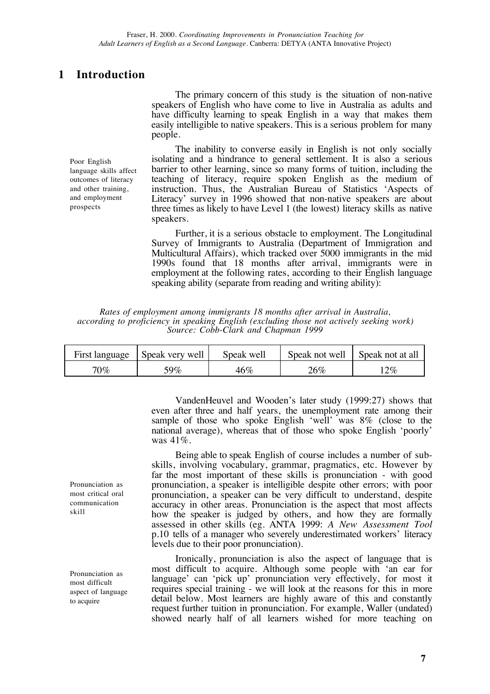## **1 Introduction**

The primary concern of this study is the situation of non-native speakers of English who have come to live in Australia as adults and have difficulty learning to speak English in a way that makes them easily intelligible to native speakers. This is a serious problem for many people.

Poor English language skills affect outcomes of literacy and other training, and employment prospects

The inability to converse easily in English is not only socially isolating and a hindrance to general settlement. It is also a serious barrier to other learning, since so many forms of tuition, including the teaching of literacy, require spoken English as the medium of instruction. Thus, the Australian Bureau of Statistics 'Aspects of Literacy' survey in 1996 showed that non-native speakers are about three times as likely to have Level 1 (the lowest) literacy skills as native speakers.

Further, it is a serious obstacle to employment. The Longitudinal Survey of Immigrants to Australia (Department of Immigration and Multicultural Affairs), which tracked over 5000 immigrants in the mid 1990s found that 18 months after arrival, immigrants were in employment at the following rates, according to their English language speaking ability (separate from reading and writing ability):

*Rates of employment among immigrants 18 months after arrival in Australia, according to proficiency in speaking English (excluding those not actively seeking work) Source: Cobb-Clark and Chapman 1999*

| First language | Speak verv well | Speak well |     | Speak not well   Speak not at all |
|----------------|-----------------|------------|-----|-----------------------------------|
| 7 $0\%$        | $59\%$          | 46%        | 26% | $2\%$                             |

VandenHeuvel and Wooden's later study (1999:27) shows that even after three and half years, the unemployment rate among their sample of those who spoke English 'well' was 8% (close to the national average), whereas that of those who spoke English 'poorly' was 41%.

Being able to speak English of course includes a number of subskills, involving vocabulary, grammar, pragmatics, etc. However by far the most important of these skills is pronunciation - with good pronunciation, a speaker is intelligible despite other errors; with poor pronunciation, a speaker can be very difficult to understand, despite accuracy in other areas. Pronunciation is the aspect that most affects how the speaker is judged by others, and how they are formally assessed in other skills (eg. ANTA 1999: *A New Assessment Tool* p.10 tells of a manager who severely underestimated workers' literacy levels due to their poor pronunciation).

Ironically, pronunciation is also the aspect of language that is most difficult to acquire. Although some people with 'an ear for language' can 'pick up' pronunciation very effectively, for most it requires special training - we will look at the reasons for this in more detail below. Most learners are highly aware of this and constantly request further tuition in pronunciation. For example, Waller (undated) showed nearly half of all learners wished for more teaching on

Pronunciation as most critical oral communication skill

Pronunciation as most difficult aspect of language to acquire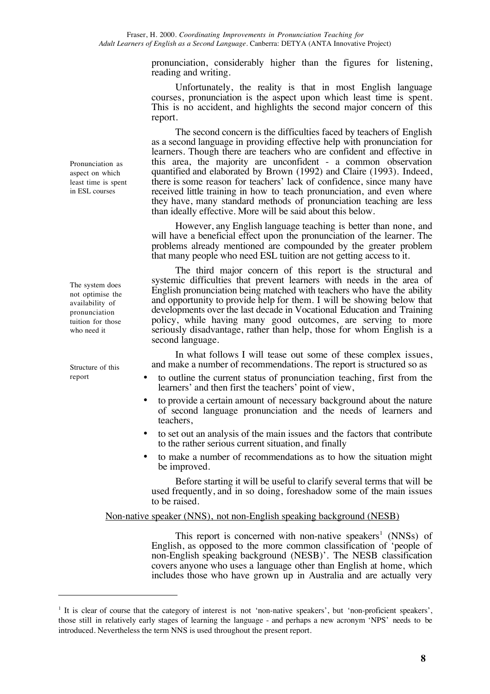pronunciation, considerably higher than the figures for listening, reading and writing.

Unfortunately, the reality is that in most English language courses, pronunciation is the aspect upon which least time is spent. This is no accident, and highlights the second major concern of this report.

The second concern is the difficulties faced by teachers of English as a second language in providing effective help with pronunciation for learners. Though there are teachers who are confident and effective in this area, the majority are unconfident - a common observation quantified and elaborated by Brown (1992) and Claire (1993). Indeed, there is some reason for teachers' lack of confidence, since many have received little training in how to teach pronunciation, and even where they have, many standard methods of pronunciation teaching are less than ideally effective. More will be said about this below.

However, any English language teaching is better than none, and will have a beneficial effect upon the pronunciation of the learner. The problems already mentioned are compounded by the greater problem that many people who need ESL tuition are not getting access to it.

The third major concern of this report is the structural and systemic difficulties that prevent learners with needs in the area of English pronunciation being matched with teachers who have the ability and opportunity to provide help for them. I will be showing below that developments over the last decade in Vocational Education and Training policy, while having many good outcomes, are serving to more seriously disadvantage, rather than help, those for whom English is a second language.

In what follows I will tease out some of these complex issues, and make a number of recommendations. The report is structured so as

- to outline the current status of pronunciation teaching, first from the learners' and then first the teachers' point of view,
- to provide a certain amount of necessary background about the nature of second language pronunciation and the needs of learners and teachers,
- to set out an analysis of the main issues and the factors that contribute to the rather serious current situation, and finally
- to make a number of recommendations as to how the situation might be improved.

Before starting it will be useful to clarify several terms that will be used frequently, and in so doing, foreshadow some of the main issues to be raised.

#### Non-native speaker (NNS), not non-English speaking background (NESB)

This report is concerned with non-native speakers<sup>1</sup> (NNSs) of English, as opposed to the more common classification of 'people of non-English speaking background (NESB)'. The NESB classification covers anyone who uses a language other than English at home, which includes those who have grown up in Australia and are actually very

Pronunciation as aspect on which least time is spent in ESL courses

The system does not optimise the availability of pronunciation tuition for those who need it

Structure of this report

<sup>&</sup>lt;sup>1</sup> It is clear of course that the category of interest is not 'non-native speakers', but 'non-proficient speakers', those still in relatively early stages of learning the language - and perhaps a new acronym 'NPS' needs to be introduced. Nevertheless the term NNS is used throughout the present report.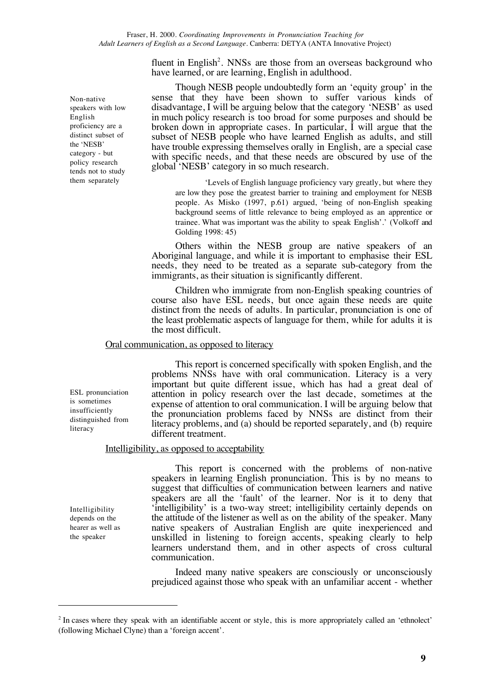> fluent in English<sup>2</sup>. NNSs are those from an overseas background who have learned, or are learning, English in adulthood.

> Though NESB people undoubtedly form an 'equity group' in the sense that they have been shown to suffer various kinds of disadvantage, I will be arguing below that the category 'NESB' as used in much policy research is too broad for some purposes and should be broken down in appropriate cases. In particular, I will argue that the subset of NESB people who have learned English as adults, and still have trouble expressing themselves orally in English, are a special case with specific needs, and that these needs are obscured by use of the global 'NESB' category in so much research.

'Levels of English language proficiency vary greatly, but where they are low they pose the greatest barrier to training and employment for NESB people. As Misko (1997, p.61) argued, 'being of non-English speaking background seems of little relevance to being employed as an apprentice or trainee. What was important was the ability to speak English'.' (Volkoff and Golding 1998: 45)

Others within the NESB group are native speakers of an Aboriginal language, and while it is important to emphasise their ESL needs, they need to be treated as a separate sub-category from the immigrants, as their situation is significantly different.

Children who immigrate from non-English speaking countries of course also have ESL needs, but once again these needs are quite distinct from the needs of adults. In particular, pronunciation is one of the least problematic aspects of language for them, while for adults it is the most difficult.

#### Oral communication, as opposed to literacy

This report is concerned specifically with spoken English, and the problems NNSs have with oral communication. Literacy is a very important but quite different issue, which has had a great deal of attention in policy research over the last decade, sometimes at the expense of attention to oral communication. I will be arguing below that the pronunciation problems faced by NNSs are distinct from their literacy problems, and (a) should be reported separately, and (b) require different treatment.

#### Intelligibility, as opposed to acceptability

This report is concerned with the problems of non-native speakers in learning English pronunciation. This is by no means to suggest that difficulties of communication between learners and native speakers are all the 'fault' of the learner. Nor is it to deny that 'intelligibility' is a two-way street; intelligibility certainly depends on the attitude of the listener as well as on the ability of the speaker. Many native speakers of Australian English are quite inexperienced and unskilled in listening to foreign accents, speaking clearly to help learners understand them, and in other aspects of cross cultural communication.

Indeed many native speakers are consciously or unconsciously prejudiced against those who speak with an unfamiliar accent - whether

Non-native speakers with low English proficiency are a distinct subset of the 'NESB' category - but policy research tends not to study them separately

ESL pronunciation is sometimes insufficiently distinguished from literacy

Intelligibility depends on the hearer as well as the speaker

 $2$  In cases where they speak with an identifiable accent or style, this is more appropriately called an 'ethnolect' (following Michael Clyne) than a 'foreign accent'.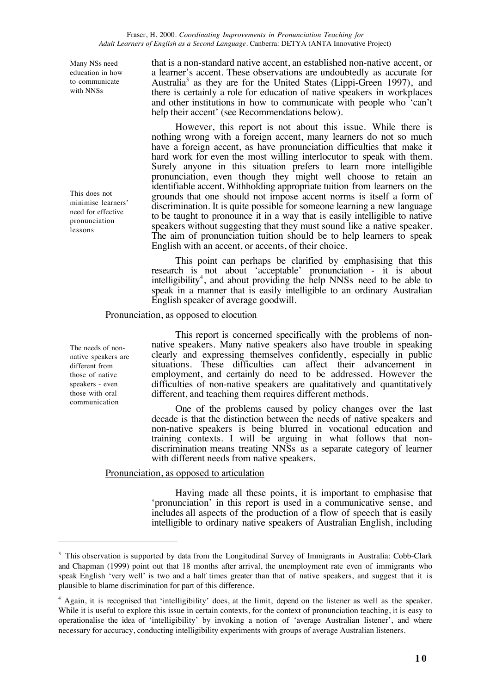Many NSs need education in how to communicate with NNSs

This does not minimise learners' need for effective pronunciation lessons

that is a non-standard native accent, an established non-native accent, or a learner's accent. These observations are undoubtedly as accurate for Australia<sup>3</sup> as they are for the United States (Lippi-Green 1997), and there is certainly a role for education of native speakers in workplaces and other institutions in how to communicate with people who 'can't help their accent' (see Recommendations below).

However, this report is not about this issue. While there is nothing wrong with a foreign accent, many learners do not so much have a foreign accent, as have pronunciation difficulties that make it hard work for even the most willing interlocutor to speak with them. Surely anyone in this situation prefers to learn more intelligible pronunciation, even though they might well choose to retain an identifiable accent. Withholding appropriate tuition from learners on the grounds that one should not impose accent norms is itself a form of discrimination. It is quite possible for someone learning a new language to be taught to pronounce it in a way that is easily intelligible to native speakers without suggesting that they must sound like a native speaker. The aim of pronunciation tuition should be to help learners to speak English with an accent, or accents, of their choice.

This point can perhaps be clarified by emphasising that this research is not about 'acceptable' pronunciation - it is about intelligibility<sup>4</sup>, and about providing the help NNSs need to be able to speak in a manner that is easily intelligible to an ordinary Australian English speaker of average goodwill.

#### Pronunciation, as opposed to elocution

The needs of nonnative speakers are different from those of native speakers - even those with oral communication

 $\overline{a}$ 

This report is concerned specifically with the problems of nonnative speakers. Many native speakers also have trouble in speaking clearly and expressing themselves confidently, especially in public situations. These difficulties can affect their advancement in employment, and certainly do need to be addressed. However the difficulties of non-native speakers are qualitatively and quantitatively different, and teaching them requires different methods.

One of the problems caused by policy changes over the last decade is that the distinction between the needs of native speakers and non-native speakers is being blurred in vocational education and training contexts. I will be arguing in what follows that nondiscrimination means treating NNSs as a separate category of learner with different needs from native speakers.

Pronunciation, as opposed to articulation

Having made all these points, it is important to emphasise that 'pronunciation' in this report is used in a communicative sense, and includes all aspects of the production of a flow of speech that is easily intelligible to ordinary native speakers of Australian English, including

<sup>&</sup>lt;sup>3</sup> This observation is supported by data from the Longitudinal Survey of Immigrants in Australia: Cobb-Clark and Chapman (1999) point out that 18 months after arrival, the unemployment rate even of immigrants who speak English 'very well' is two and a half times greater than that of native speakers, and suggest that it is plausible to blame discrimination for part of this difference.

<sup>&</sup>lt;sup>4</sup> Again, it is recognised that 'intelligibility' does, at the limit, depend on the listener as well as the speaker. While it is useful to explore this issue in certain contexts, for the context of pronunciation teaching, it is easy to operationalise the idea of 'intelligibility' by invoking a notion of 'average Australian listener', and where necessary for accuracy, conducting intelligibility experiments with groups of average Australian listeners.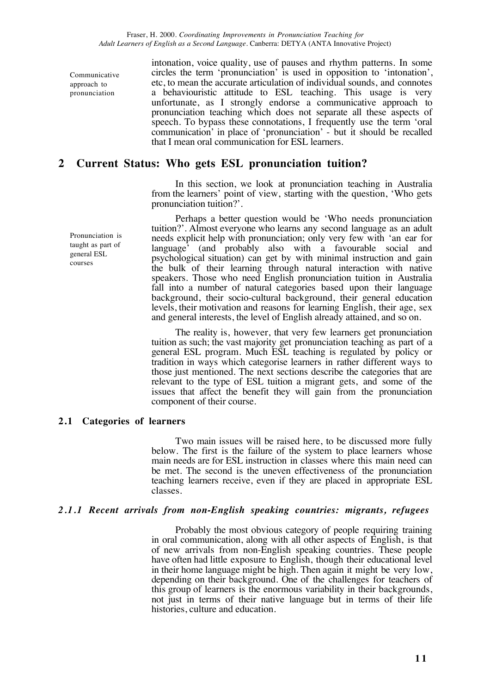Communicative approach to pronunciation

intonation, voice quality, use of pauses and rhythm patterns. In some circles the term 'pronunciation' is used in opposition to 'intonation', etc, to mean the accurate articulation of individual sounds, and connotes a behaviouristic attitude to ESL teaching. This usage is very unfortunate, as I strongly endorse a communicative approach to pronunciation teaching which does not separate all these aspects of speech. To bypass these connotations, I frequently use the term 'oral communication' in place of 'pronunciation' - but it should be recalled that I mean oral communication for ESL learners.

## **2 Current Status: Who gets ESL pronunciation tuition?**

In this section, we look at pronunciation teaching in Australia from the learners' point of view, starting with the question, 'Who gets pronunciation tuition?'.

Perhaps a better question would be 'Who needs pronunciation tuition?'. Almost everyone who learns any second language as an adult needs explicit help with pronunciation; only very few with 'an ear for language' (and probably also with a favourable social and psychological situation) can get by with minimal instruction and gain the bulk of their learning through natural interaction with native speakers. Those who need English pronunciation tuition in Australia fall into a number of natural categories based upon their language background, their socio-cultural background, their general education levels, their motivation and reasons for learning English, their age, sex and general interests, the level of English already attained, and so on.

The reality is, however, that very few learners get pronunciation tuition as such; the vast majority get pronunciation teaching as part of a general ESL program. Much ESL teaching is regulated by policy or tradition in ways which categorise learners in rather different ways to those just mentioned. The next sections describe the categories that are relevant to the type of ESL tuition a migrant gets, and some of the issues that affect the benefit they will gain from the pronunciation component of their course.

### **2.1 Categories of learners**

Two main issues will be raised here, to be discussed more fully below. The first is the failure of the system to place learners whose main needs are for ESL instruction in classes where this main need can be met. The second is the uneven effectiveness of the pronunciation teaching learners receive, even if they are placed in appropriate ESL classes.

### *2.1.1 Recent arrivals from non-English speaking countries: migrants, refugees*

Probably the most obvious category of people requiring training in oral communication, along with all other aspects of English, is that of new arrivals from non-English speaking countries. These people have often had little exposure to English, though their educational level in their home language might be high. Then again it might be very low, depending on their background. One of the challenges for teachers of this group of learners is the enormous variability in their backgrounds, not just in terms of their native language but in terms of their life histories, culture and education.

Pronunciation is taught as part of general ESL courses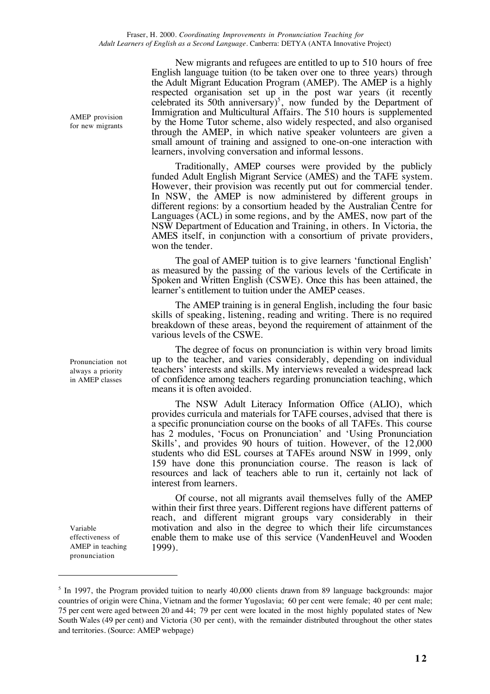New migrants and refugees are entitled to up to 510 hours of free English language tuition (to be taken over one to three years) through the Adult Migrant Education Program (AMEP). The AMEP is a highly respected organisation set up in the post war years (it recently celebrated its 50th anniversary)<sup>5</sup>, now funded by the Department of Immigration and Multicultural Affairs. The 510 hours is supplemented by the Home Tutor scheme, also widely respected, and also organised through the AMEP, in which native speaker volunteers are given a small amount of training and assigned to one-on-one interaction with learners, involving conversation and informal lessons.

Traditionally, AMEP courses were provided by the publicly funded Adult English Migrant Service (AMES) and the TAFE system. However, their provision was recently put out for commercial tender. In NSW, the AMEP is now administered by different groups in different regions: by a consortium headed by the Australian Centre for Languages (ACL) in some regions, and by the AMES, now part of the NSW Department of Education and Training, in others. In Victoria, the AMES itself, in conjunction with a consortium of private providers, won the tender.

The goal of AMEP tuition is to give learners 'functional English' as measured by the passing of the various levels of the Certificate in Spoken and Written English (CSWE). Once this has been attained, the learner's entitlement to tuition under the AMEP ceases.

The AMEP training is in general English, including the four basic skills of speaking, listening, reading and writing. There is no required breakdown of these areas, beyond the requirement of attainment of the various levels of the CSWE.

The degree of focus on pronunciation is within very broad limits up to the teacher, and varies considerably, depending on individual teachers' interests and skills. My interviews revealed a widespread lack of confidence among teachers regarding pronunciation teaching, which means it is often avoided.

The NSW Adult Literacy Information Office (ALIO), which provides curricula and materials for TAFE courses, advised that there is a specific pronunciation course on the books of all TAFEs. This course has 2 modules, 'Focus on Pronunciation' and 'Using Pronunciation Skills', and provides 90 hours of tuition. However, of the 12,000 students who did ESL courses at TAFEs around NSW in 1999, only 159 have done this pronunciation course. The reason is lack of resources and lack of teachers able to run it, certainly not lack of interest from learners.

Of course, not all migrants avail themselves fully of the AMEP within their first three years. Different regions have different patterns of reach, and different migrant groups vary considerably in their motivation and also in the degree to which their life circumstances enable them to make use of this service (VandenHeuvel and Wooden 1999).

Pronunciation not always a priority in AMEP classes

Variable effectiveness of AMEP in teaching pronunciation

AMEP provision for new migrants

<sup>&</sup>lt;sup>5</sup> In 1997, the Program provided tuition to nearly 40,000 clients drawn from 89 language backgrounds: major countries of origin were China, Vietnam and the former Yugoslavia; 60 per cent were female; 40 per cent male; 75 per cent were aged between 20 and 44; 79 per cent were located in the most highly populated states of New South Wales (49 per cent) and Victoria (30 per cent), with the remainder distributed throughout the other states and territories. (Source: AMEP webpage)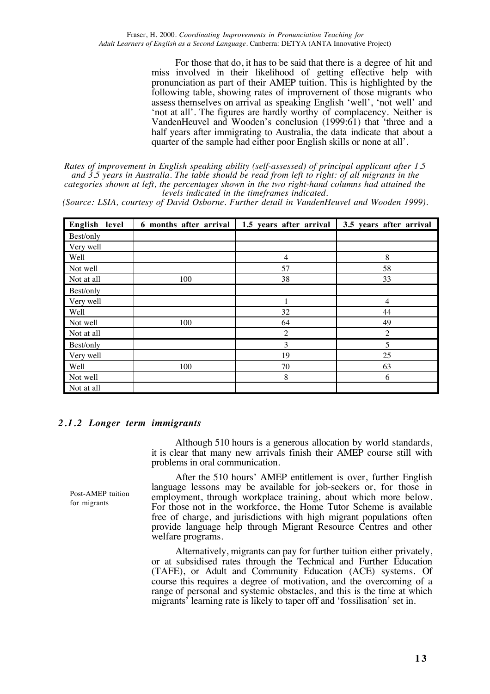> For those that do, it has to be said that there is a degree of hit and miss involved in their likelihood of getting effective help with pronunciation as part of their AMEP tuition. This is highlighted by the following table, showing rates of improvement of those migrants who assess themselves on arrival as speaking English 'well', 'not well' and 'not at all'. The figures are hardly worthy of complacency. Neither is VandenHeuvel and Wooden's conclusion (1999:61) that 'three and a half years after immigrating to Australia, the data indicate that about a quarter of the sample had either poor English skills or none at all'.

*Rates of improvement in English speaking ability (self-assessed) of principal applicant after 1.5 and 3.5 years in Australia. The table should be read from left to right: of all migrants in the categories shown at left, the percentages shown in the two right-hand columns had attained the levels indicated in the timeframes indicated.*

*(Source: LSIA, courtesy of David Osborne. Further detail in VandenHeuvel and Wooden 1999).*

| English<br>level | 6 months after arrival | 1.5 years after arrival | 3.5 years after arrival |
|------------------|------------------------|-------------------------|-------------------------|
| Best/only        |                        |                         |                         |
| Very well        |                        |                         |                         |
| Well             |                        | $\overline{4}$          | 8                       |
| Not well         |                        | 57                      | 58                      |
| Not at all       | 100                    | 38                      | 33                      |
| Best/only        |                        |                         |                         |
| Very well        |                        |                         | $\overline{4}$          |
| Well             |                        | 32                      | 44                      |
| Not well         | 100                    | 64                      | 49                      |
| Not at all       |                        | $\overline{2}$          | 2                       |
| Best/only        |                        | 3                       | 5                       |
| Very well        |                        | 19                      | 25                      |
| Well             | 100                    | 70                      | 63                      |
| Not well         |                        | 8                       | 6                       |
| Not at all       |                        |                         |                         |

#### *2.1.2 Longer term immigrants*

Although 510 hours is a generous allocation by world standards, it is clear that many new arrivals finish their AMEP course still with problems in oral communication.

Post-AMEP tuition for migrants

After the 510 hours' AMEP entitlement is over, further English language lessons may be available for job-seekers or, for those in employment, through workplace training, about which more below. For those not in the workforce, the Home Tutor Scheme is available free of charge, and jurisdictions with high migrant populations often provide language help through Migrant Resource Centres and other welfare programs.

Alternatively, migrants can pay for further tuition either privately, or at subsidised rates through the Technical and Further Education (TAFE), or Adult and Community Education (ACE) systems. Of course this requires a degree of motivation, and the overcoming of a range of personal and systemic obstacles, and this is the time at which migrants' learning rate is likely to taper off and 'fossilisation' set in.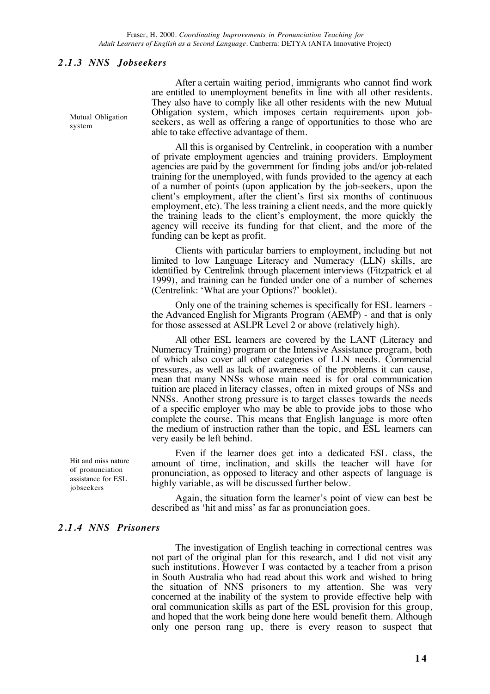#### *2.1.3 NNS Jobseekers*

Mutual Obligation system

After a certain waiting period, immigrants who cannot find work are entitled to unemployment benefits in line with all other residents. They also have to comply like all other residents with the new Mutual Obligation system, which imposes certain requirements upon jobseekers, as well as offering a range of opportunities to those who are able to take effective advantage of them.

All this is organised by Centrelink, in cooperation with a number of private employment agencies and training providers. Employment agencies are paid by the government for finding jobs and/or job-related training for the unemployed, with funds provided to the agency at each of a number of points (upon application by the job-seekers, upon the client's employment, after the client's first six months of continuous employment, etc). The less training a client needs, and the more quickly the training leads to the client's employment, the more quickly the agency will receive its funding for that client, and the more of the funding can be kept as profit.

Clients with particular barriers to employment, including but not limited to low Language Literacy and Numeracy (LLN) skills, are identified by Centrelink through placement interviews (Fitzpatrick et al 1999), and training can be funded under one of a number of schemes (Centrelink: 'What are your Options?' booklet).

Only one of the training schemes is specifically for ESL learners the Advanced English for Migrants Program (AEMP) - and that is only for those assessed at ASLPR Level 2 or above (relatively high).

All other ESL learners are covered by the LANT (Literacy and Numeracy Training) program or the Intensive Assistance program, both of which also cover all other categories of LLN needs. Commercial pressures, as well as lack of awareness of the problems it can cause, mean that many NNSs whose main need is for oral communication tuition are placed in literacy classes, often in mixed groups of NSs and NNSs. Another strong pressure is to target classes towards the needs of a specific employer who may be able to provide jobs to those who complete the course. This means that English language is more often the medium of instruction rather than the topic, and ESL learners can very easily be left behind.

Even if the learner does get into a dedicated ESL class, the amount of time, inclination, and skills the teacher will have for pronunciation, as opposed to literacy and other aspects of language is highly variable, as will be discussed further below.

Again, the situation form the learner's point of view can best be described as 'hit and miss' as far as pronunciation goes.

#### *2.1.4 NNS Prisoners*

The investigation of English teaching in correctional centres was not part of the original plan for this research, and I did not visit any such institutions. However I was contacted by a teacher from a prison in South Australia who had read about this work and wished to bring the situation of NNS prisoners to my attention. She was very concerned at the inability of the system to provide effective help with oral communication skills as part of the ESL provision for this group, and hoped that the work being done here would benefit them. Although only one person rang up, there is every reason to suspect that

Hit and miss nature of pronunciation assistance for ESL jobseekers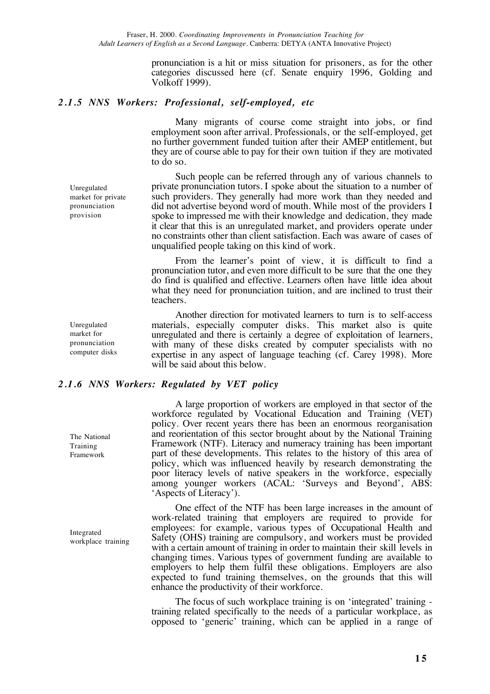> pronunciation is a hit or miss situation for prisoners, as for the other categories discussed here (cf. Senate enquiry 1996, Golding and Volkoff 1999).

#### *2.1.5 NNS Workers: Professional, self-employed, etc*

Many migrants of course come straight into jobs, or find employment soon after arrival. Professionals, or the self-employed, get no further government funded tuition after their AMEP entitlement, but they are of course able to pay for their own tuition if they are motivated to do so.

Such people can be referred through any of various channels to private pronunciation tutors. I spoke about the situation to a number of such providers. They generally had more work than they needed and did not advertise beyond word of mouth. While most of the providers I spoke to impressed me with their knowledge and dedication, they made it clear that this is an unregulated market, and providers operate under no constraints other than client satisfaction. Each was aware of cases of unqualified people taking on this kind of work.

From the learner's point of view, it is difficult to find a pronunciation tutor, and even more difficult to be sure that the one they do find is qualified and effective. Learners often have little idea about what they need for pronunciation tuition, and are inclined to trust their teachers.

Another direction for motivated learners to turn is to self-access materials, especially computer disks. This market also is quite unregulated and there is certainly a degree of exploitation of learners, with many of these disks created by computer specialists with no expertise in any aspect of language teaching (cf. Carey 1998). More will be said about this below.

### *2.1.6 NNS Workers: Regulated by VET policy*

A large proportion of workers are employed in that sector of the workforce regulated by Vocational Education and Training (VET) policy. Over recent years there has been an enormous reorganisation and reorientation of this sector brought about by the National Training Framework (NTF). Literacy and numeracy training has been important part of these developments. This relates to the history of this area of policy, which was influenced heavily by research demonstrating the poor literacy levels of native speakers in the workforce, especially among younger workers (ACAL: 'Surveys and Beyond', ABS: 'Aspects of Literacy').

One effect of the NTF has been large increases in the amount of work-related training that employers are required to provide for employees: for example, various types of Occupational Health and Safety (OHS) training are compulsory, and workers must be provided with a certain amount of training in order to maintain their skill levels in changing times. Various types of government funding are available to employers to help them fulfil these obligations. Employers are also expected to fund training themselves, on the grounds that this will enhance the productivity of their workforce.

The focus of such workplace training is on 'integrated' training training related specifically to the needs of a particular workplace, as opposed to 'generic' training, which can be applied in a range of

Unregulated market for private pronunciation provision

Unregulated market for pronunciation computer disks

The National Training Framework

Integrated workplace training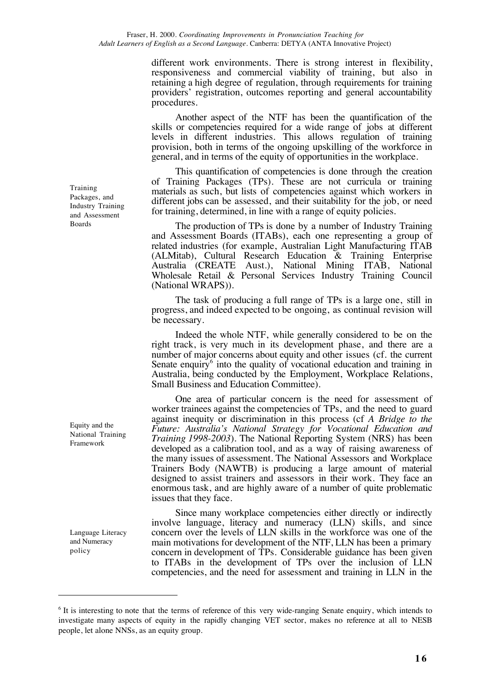different work environments. There is strong interest in flexibility, responsiveness and commercial viability of training, but also in retaining a high degree of regulation, through requirements for training providers' registration, outcomes reporting and general accountability procedures.

Another aspect of the NTF has been the quantification of the skills or competencies required for a wide range of jobs at different levels in different industries. This allows regulation of training provision, both in terms of the ongoing upskilling of the workforce in general, and in terms of the equity of opportunities in the workplace.

This quantification of competencies is done through the creation of Training Packages (TPs). These are not curricula or training materials as such, but lists of competencies against which workers in different jobs can be assessed, and their suitability for the job, or need for training, determined, in line with a range of equity policies.

The production of TPs is done by a number of Industry Training and Assessment Boards (ITABs), each one representing a group of related industries (for example, Australian Light Manufacturing ITAB (ALMitab), Cultural Research Education & Training Enterprise Australia (CREATE Aust.), National Mining ITAB, National Wholesale Retail & Personal Services Industry Training Council (National WRAPS)).

The task of producing a full range of TPs is a large one, still in progress, and indeed expected to be ongoing, as continual revision will be necessary.

Indeed the whole NTF, while generally considered to be on the right track, is very much in its development phase, and there are a number of major concerns about equity and other issues (cf. the current Senate enquiry $6$  into the quality of vocational education and training in Australia, being conducted by the Employment, Workplace Relations, Small Business and Education Committee).

One area of particular concern is the need for assessment of worker trainees against the competencies of TPs, and the need to guard against inequity or discrimination in this process (cf *A Bridge to the Future: Australia's National Strategy for Vocational Education and Training 1998-2003*). The National Reporting System (NRS) has been developed as a calibration tool, and as a way of raising awareness of the many issues of assessment. The National Assessors and Workplace Trainers Body (NAWTB) is producing a large amount of material designed to assist trainers and assessors in their work. They face an enormous task, and are highly aware of a number of quite problematic issues that they face.

Since many workplace competencies either directly or indirectly involve language, literacy and numeracy (LLN) skills, and since concern over the levels of LLN skills in the workforce was one of the main motivations for development of the NTF, LLN has been a primary concern in development of TPs. Considerable guidance has been given to ITABs in the development of TPs over the inclusion of LLN competencies, and the need for assessment and training in LLN in the

Training Packages, and Industry Training and Assessment Boards

Equity and the National Training Framework

Language Literacy and Numeracy policy

<sup>&</sup>lt;sup>6</sup> It is interesting to note that the terms of reference of this very wide-ranging Senate enquiry, which intends to investigate many aspects of equity in the rapidly changing VET sector, makes no reference at all to NESB people, let alone NNSs, as an equity group.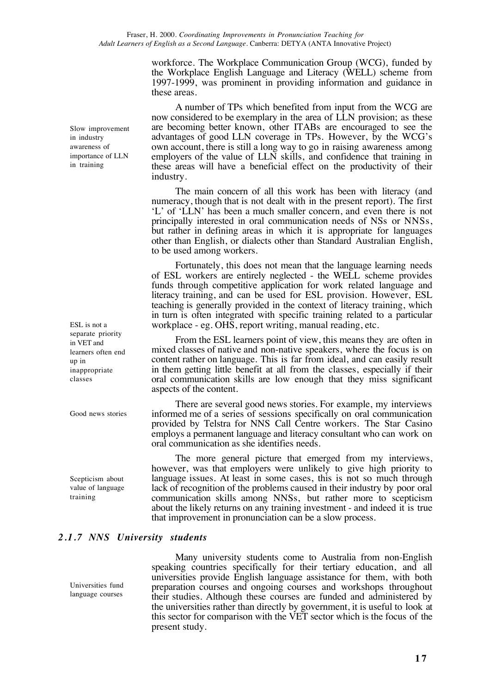> workforce. The Workplace Communication Group (WCG), funded by the Workplace English Language and Literacy (WELL) scheme from 1997-1999, was prominent in providing information and guidance in these areas.

> A number of TPs which benefited from input from the WCG are now considered to be exemplary in the area of LLN provision; as these are becoming better known, other ITABs are encouraged to see the advantages of good LLN coverage in TPs. However, by the WCG's own account, there is still a long way to go in raising awareness among employers of the value of LLN skills, and confidence that training in these areas will have a beneficial effect on the productivity of their industry.

> The main concern of all this work has been with literacy (and numeracy, though that is not dealt with in the present report). The first 'L' of 'LLN' has been a much smaller concern, and even there is not principally interested in oral communication needs of NSs or NNSs, but rather in defining areas in which it is appropriate for languages other than English, or dialects other than Standard Australian English, to be used among workers.

> Fortunately, this does not mean that the language learning needs of ESL workers are entirely neglected - the WELL scheme provides funds through competitive application for work related language and literacy training, and can be used for ESL provision. However, ESL teaching is generally provided in the context of literacy training, which in turn is often integrated with specific training related to a particular workplace - eg. OHS, report writing, manual reading, etc.

> From the ESL learners point of view, this means they are often in mixed classes of native and non-native speakers, where the focus is on content rather on language. This is far from ideal, and can easily result in them getting little benefit at all from the classes, especially if their oral communication skills are low enough that they miss significant aspects of the content.

> There are several good news stories. For example, my interviews informed me of a series of sessions specifically on oral communication provided by Telstra for NNS Call Centre workers. The Star Casino employs a permanent language and literacy consultant who can work on oral communication as she identifies needs.

> The more general picture that emerged from my interviews, however, was that employers were unlikely to give high priority to language issues. At least in some cases, this is not so much through lack of recognition of the problems caused in their industry by poor oral communication skills among NNSs, but rather more to scepticism about the likely returns on any training investment - and indeed it is true that improvement in pronunciation can be a slow process.

### *2.1.7 NNS University students*

Universities fund language courses

Many university students come to Australia from non-English speaking countries specifically for their tertiary education, and all universities provide English language assistance for them, with both preparation courses and ongoing courses and workshops throughout their studies. Although these courses are funded and administered by the universities rather than directly by government, it is useful to look at this sector for comparison with the VET sector which is the focus of the present study.

Slow improvement in industry awareness of importance of LLN in training

ESL is not a separate priority in VET and learners often end up in inappropriate classes

Good news stories

Scepticism about value of language training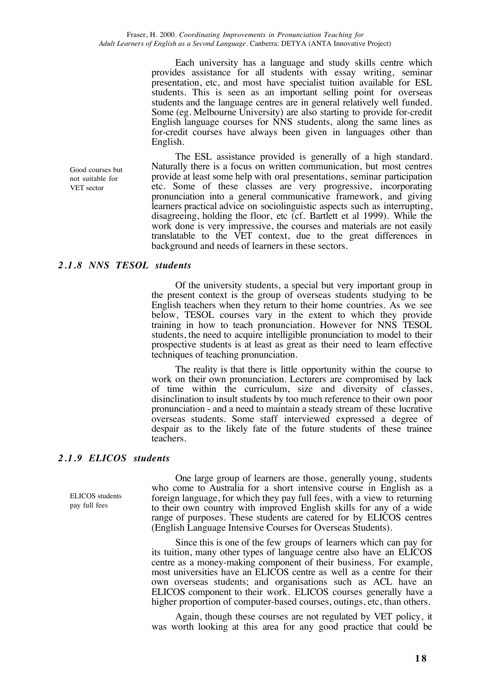> Each university has a language and study skills centre which provides assistance for all students with essay writing, seminar presentation, etc, and most have specialist tuition available for ESL students. This is seen as an important selling point for overseas students and the language centres are in general relatively well funded. Some (eg. Melbourne University) are also starting to provide for-credit English language courses for NNS students, along the same lines as for-credit courses have always been given in languages other than English.

The ESL assistance provided is generally of a high standard. Naturally there is a focus on written communication, but most centres provide at least some help with oral presentations, seminar participation etc. Some of these classes are very progressive, incorporating pronunciation into a general communicative framework, and giving learners practical advice on sociolinguistic aspects such as interrupting, disagreeing, holding the floor, etc (cf. Bartlett et al 1999). While the work done is very impressive, the courses and materials are not easily translatable to the VET context, due to the great differences in background and needs of learners in these sectors.

#### *2.1.8 NNS TESOL students*

Good courses but not suitable for VET sector

> Of the university students, a special but very important group in the present context is the group of overseas students studying to be English teachers when they return to their home countries. As we see below, TESOL courses vary in the extent to which they provide training in how to teach pronunciation. However for NNS TESOL students, the need to acquire intelligible pronunciation to model to their prospective students is at least as great as their need to learn effective techniques of teaching pronunciation.

> The reality is that there is little opportunity within the course to work on their own pronunciation. Lecturers are compromised by lack of time within the curriculum, size and diversity of classes, disinclination to insult students by too much reference to their own poor pronunciation - and a need to maintain a steady stream of these lucrative overseas students. Some staff interviewed expressed a degree of despair as to the likely fate of the future students of these trainee teachers.

#### *2.1.9 ELICOS students*

ELICOS students pay full fees

One large group of learners are those, generally young, students who come to Australia for a short intensive course in English as a foreign language, for which they pay full fees, with a view to returning to their own country with improved English skills for any of a wide range of purposes. These students are catered for by ELICOS centres (English Language Intensive Courses for Overseas Students).

Since this is one of the few groups of learners which can pay for its tuition, many other types of language centre also have an ELICOS centre as a money-making component of their business. For example, most universities have an ELICOS centre as well as a centre for their own overseas students; and organisations such as ACL have an ELICOS component to their work. ELICOS courses generally have a higher proportion of computer-based courses, outings, etc, than others.

Again, though these courses are not regulated by VET policy, it was worth looking at this area for any good practice that could be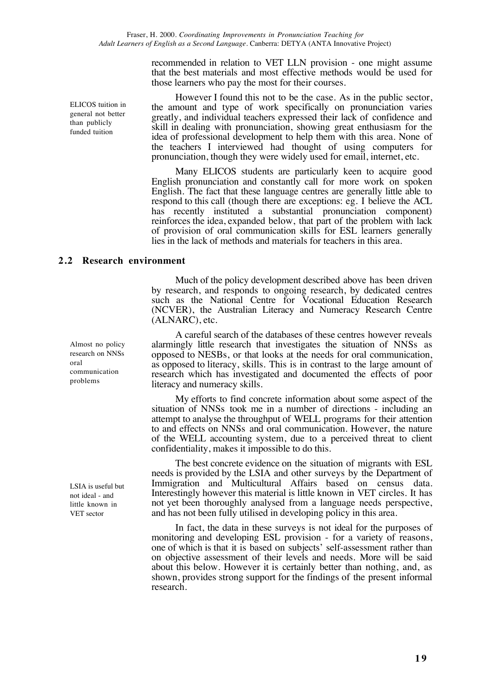> recommended in relation to VET LLN provision - one might assume that the best materials and most effective methods would be used for those learners who pay the most for their courses.

> However I found this not to be the case. As in the public sector, the amount and type of work specifically on pronunciation varies greatly, and individual teachers expressed their lack of confidence and skill in dealing with pronunciation, showing great enthusiasm for the idea of professional development to help them with this area. None of the teachers I interviewed had thought of using computers for pronunciation, though they were widely used for email, internet, etc.

> Many ELICOS students are particularly keen to acquire good English pronunciation and constantly call for more work on spoken English. The fact that these language centres are generally little able to respond to this call (though there are exceptions: eg. I believe the ACL has recently instituted a substantial pronunciation component) reinforces the idea, expanded below, that part of the problem with lack of provision of oral communication skills for ESL learners generally lies in the lack of methods and materials for teachers in this area.

#### **2.2 Research environment**

Much of the policy development described above has been driven by research, and responds to ongoing research, by dedicated centres such as the National Centre for Vocational Education Research (NCVER), the Australian Literacy and Numeracy Research Centre (ALNARC), etc.

A careful search of the databases of these centres however reveals alarmingly little research that investigates the situation of NNSs as opposed to NESBs, or that looks at the needs for oral communication, as opposed to literacy, skills. This is in contrast to the large amount of research which has investigated and documented the effects of poor literacy and numeracy skills.

My efforts to find concrete information about some aspect of the situation of NNSs took me in a number of directions - including an attempt to analyse the throughput of WELL programs for their attention to and effects on NNSs and oral communication. However, the nature of the WELL accounting system, due to a perceived threat to client confidentiality, makes it impossible to do this.

The best concrete evidence on the situation of migrants with ESL needs is provided by the LSIA and other surveys by the Department of Immigration and Multicultural Affairs based on census data. Interestingly however this material is little known in VET circles. It has not yet been thoroughly analysed from a language needs perspective, and has not been fully utilised in developing policy in this area.

In fact, the data in these surveys is not ideal for the purposes of monitoring and developing ESL provision - for a variety of reasons, one of which is that it is based on subjects' self-assessment rather than on objective assessment of their levels and needs. More will be said about this below. However it is certainly better than nothing, and, as shown, provides strong support for the findings of the present informal research.

Almost no policy research on NNSs oral communication problems

ELICOS tuition in general not better than publicly funded tuition

LSIA is useful but not ideal - and little known in VET sector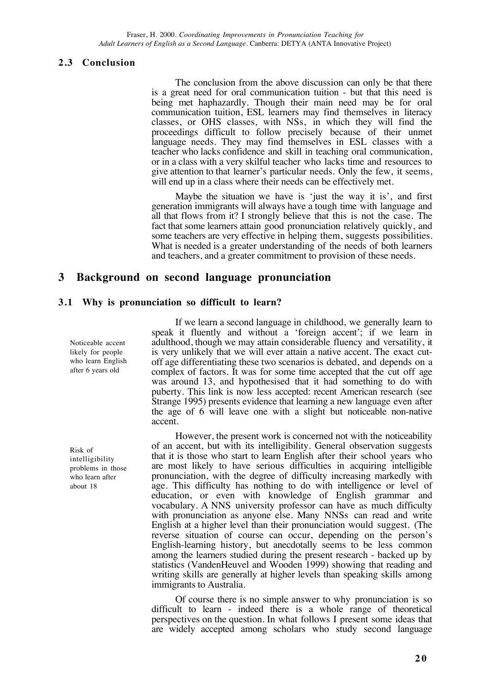#### **2.3 Conclusion**

The conclusion from the above discussion can only be that there is a great need for oral communication tuition - but that this need is being met haphazardly. Though their main need may be for oral communication tuition, ESL learners may find themselves in literacy classes, or OHS classes, with NSs, in which they will find the proceedings difficult to follow precisely because of their unmet language needs. They may find themselves in ESL classes with a teacher who lacks confidence and skill in teaching oral communication, or in a class with a very skilful teacher who lacks time and resources to give attention to that learner's particular needs. Only the few, it seems, will end up in a class where their needs can be effectively met.

Maybe the situation we have is 'just the way it is', and first generation immigrants will always have a tough time with language and all that flows from it? I strongly believe that this is not the case. The fact that some learners attain good pronunciation relatively quickly, and some teachers are very effective in helping them, suggests possibilities. What is needed is a greater understanding of the needs of both learners and teachers, and a greater commitment to provision of these needs.

### **3 Background on second language pronunciation**

### **3.1 Why is pronunciation so difficult to learn?**

Noticeable accent likely for people who learn English after 6 years old

Risk of intelligibility problems in those who learn after about 18

If we learn a second language in childhood, we generally learn to speak it fluently and without a 'foreign accent'; if we learn in adulthood, though we may attain considerable fluency and versatility, it is very unlikely that we will ever attain a native accent. The exact cutoff age differentiating these two scenarios is debated, and depends on a complex of factors. It was for some time accepted that the cut off age was around 13, and hypothesised that it had something to do with puberty. This link is now less accepted: recent American research (see Strange 1995) presents evidence that learning a new language even after the age of 6 will leave one with a slight but noticeable non-native accent.

However, the present work is concerned not with the noticeability of an accent, but with its intelligibility. General observation suggests that it is those who start to learn English after their school years who are most likely to have serious difficulties in acquiring intelligible pronunciation, with the degree of difficulty increasing markedly with age. This difficulty has nothing to do with intelligence or level of education, or even with knowledge of English grammar and vocabulary. A NNS university professor can have as much difficulty with pronunciation as anyone else. Many NNSs can read and write English at a higher level than their pronunciation would suggest. (The reverse situation of course can occur, depending on the person's English-learning history, but anecdotally seems to be less common among the learners studied during the present research - backed up by statistics (VandenHeuvel and Wooden 1999) showing that reading and writing skills are generally at higher levels than speaking skills among immigrants to Australia.

Of course there is no simple answer to why pronunciation is so difficult to learn - indeed there is a whole range of theoretical perspectives on the question. In what follows I present some ideas that are widely accepted among scholars who study second language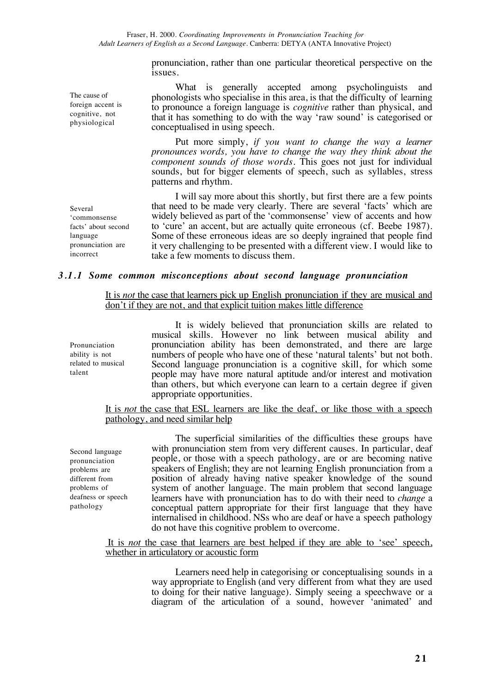> pronunciation, rather than one particular theoretical perspective on the issues.

The cause of foreign accent is cognitive, not physiological

What is generally accepted among psycholinguists and phonologists who specialise in this area, is that the difficulty of learning to pronounce a foreign language is *cognitive* rather than physical, and that it has something to do with the way 'raw sound' is categorised or conceptualised in using speech.

Put more simply, *if you want to change the way a learner pronounces words, you have to change the way they think about the component sounds of those words*. This goes not just for individual sounds, but for bigger elements of speech, such as syllables, stress patterns and rhythm.

Several 'commonsense facts' about second language pronunciation are incorrect

I will say more about this shortly, but first there are a few points that need to be made very clearly. There are several 'facts' which are widely believed as part of the 'commonsense' view of accents and how to 'cure' an accent, but are actually quite erroneous (cf. Beebe 1987). Some of these erroneous ideas are so deeply ingrained that people find it very challenging to be presented with a different view. I would like to take a few moments to discuss them.

#### *3.1.1 Some common misconceptions about second language pronunciation*

It is *not* the case that learners pick up English pronunciation if they are musical and don't if they are not, and that explicit tuition makes little difference

> It is widely believed that pronunciation skills are related to musical skills. However no link between musical ability and pronunciation ability has been demonstrated, and there are large numbers of people who have one of these 'natural talents' but not both. Second language pronunciation is a cognitive skill, for which some people may have more natural aptitude and/or interest and motivation than others, but which everyone can learn to a certain degree if given appropriate opportunities.

#### It is *not* the case that ESL learners are like the deaf, or like those with a speech pathology, and need similar help

Second language pronunciation problems are different from problems of deafness or speech pathology

talent

The superficial similarities of the difficulties these groups have with pronunciation stem from very different causes. In particular, deaf people, or those with a speech pathology, are or are becoming native speakers of English; they are not learning English pronunciation from a position of already having native speaker knowledge of the sound system of another language. The main problem that second language learners have with pronunciation has to do with their need to *change* a conceptual pattern appropriate for their first language that they have internalised in childhood. NSs who are deaf or have a speech pathology do not have this cognitive problem to overcome.

 It is *not* the case that learners are best helped if they are able to 'see' speech, whether in articulatory or acoustic form

> Learners need help in categorising or conceptualising sounds in a way appropriate to English (and very different from what they are used to doing for their native language). Simply seeing a speechwave or a diagram of the articulation of a sound, however 'animated' and

Pronunciation ability is not related to musical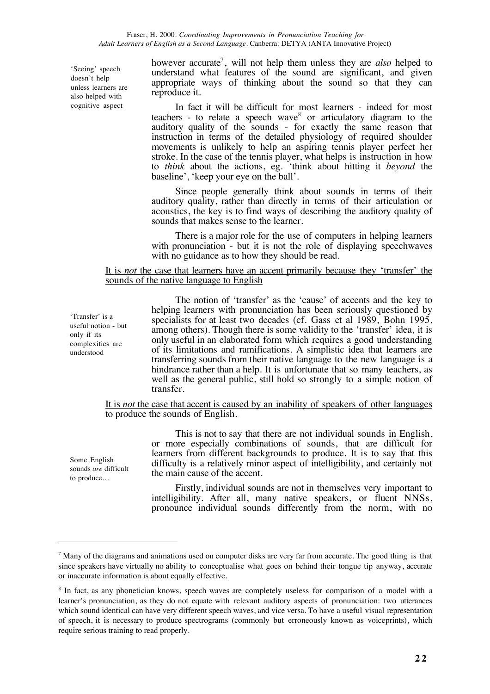'Seeing' speech doesn't help unless learners are also helped with cognitive aspect

however accurate<sup>7</sup>, will not help them unless they are *also* helped to understand what features of the sound are significant, and given appropriate ways of thinking about the sound so that they can reproduce it.

In fact it will be difficult for most learners - indeed for most teachers - to relate a speech wave<sup>8</sup> or articulatory diagram to the auditory quality of the sounds - for exactly the same reason that instruction in terms of the detailed physiology of required shoulder movements is unlikely to help an aspiring tennis player perfect her stroke. In the case of the tennis player, what helps is instruction in how to *think* about the actions, eg. 'think about hitting it *beyond* the baseline', 'keep your eye on the ball'.

Since people generally think about sounds in terms of their auditory quality, rather than directly in terms of their articulation or acoustics, the key is to find ways of describing the auditory quality of sounds that makes sense to the learner.

There is a major role for the use of computers in helping learners with pronunciation - but it is not the role of displaying speechwaves with no guidance as to how they should be read.

#### It is *not* the case that learners have an accent primarily because they 'transfer' the sounds of the native language to English

The notion of 'transfer' as the 'cause' of accents and the key to helping learners with pronunciation has been seriously questioned by specialists for at least two decades (cf. Gass et al 1989, Bohn 1995, among others). Though there is some validity to the 'transfer' idea, it is only useful in an elaborated form which requires a good understanding of its limitations and ramifications. A simplistic idea that learners are transferring sounds from their native language to the new language is a hindrance rather than a help. It is unfortunate that so many teachers, as well as the general public, still hold so strongly to a simple notion of transfer.

#### It is *not* the case that accent is caused by an inability of speakers of other languages to produce the sounds of English.

This is not to say that there are not individual sounds in English, or more especially combinations of sounds, that are difficult for learners from different backgrounds to produce. It is to say that this difficulty is a relatively minor aspect of intelligibility, and certainly not the main cause of the accent.

Firstly, individual sounds are not in themselves very important to intelligibility. After all, many native speakers, or fluent NNSs, pronounce individual sounds differently from the norm, with no

'Transfer' is a useful notion - but only if its complexities are understood

Some English sounds *are* difficult to produce…

 $<sup>7</sup>$  Many of the diagrams and animations used on computer disks are very far from accurate. The good thing is that</sup> since speakers have virtually no ability to conceptualise what goes on behind their tongue tip anyway, accurate or inaccurate information is about equally effective.

<sup>&</sup>lt;sup>8</sup> In fact, as any phonetician knows, speech waves are completely useless for comparison of a model with a learner's pronunciation, as they do not equate with relevant auditory aspects of pronunciation: two utterances which sound identical can have very different speech waves, and vice versa. To have a useful visual representation of speech, it is necessary to produce spectrograms (commonly but erroneously known as voiceprints), which require serious training to read properly.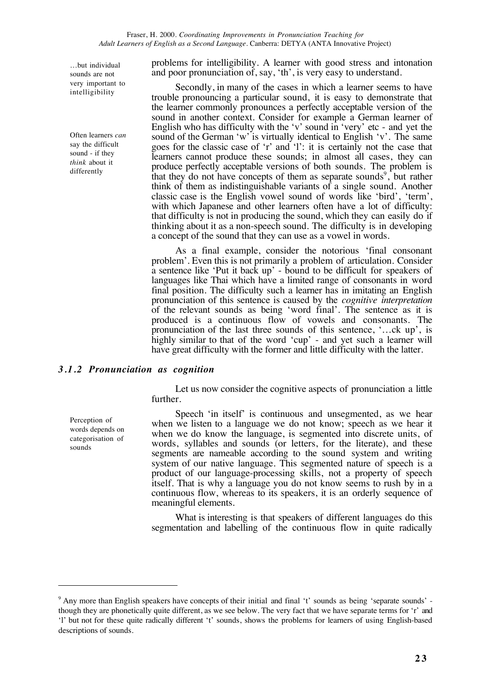…but individual sounds are not very important to intelligibility

Often learners *can* say the difficult sound - if they *think* about it differently

problems for intelligibility. A learner with good stress and intonation and poor pronunciation of, say, 'th', is very easy to understand.

Secondly, in many of the cases in which a learner seems to have trouble pronouncing a particular sound, it is easy to demonstrate that the learner commonly pronounces a perfectly acceptable version of the sound in another context. Consider for example a German learner of English who has difficulty with the 'v' sound in 'very' etc - and yet the sound of the German 'w' is virtually identical to English 'v'. The same goes for the classic case of 'r' and 'l': it is certainly not the case that learners cannot produce these sounds; in almost all cases, they can produce perfectly acceptable versions of both sounds. The problem is that they do not have concepts of them as separate sounds<sup>9</sup>, but rather think of them as indistinguishable variants of a single sound. Another classic case is the English vowel sound of words like 'bird', 'term', with which Japanese and other learners often have a lot of difficulty: that difficulty is not in producing the sound, which they can easily do if thinking about it as a non-speech sound. The difficulty is in developing a concept of the sound that they can use as a vowel in words.

As a final example, consider the notorious 'final consonant problem'. Even this is not primarily a problem of articulation. Consider a sentence like 'Put it back up' - bound to be difficult for speakers of languages like Thai which have a limited range of consonants in word final position. The difficulty such a learner has in imitating an English pronunciation of this sentence is caused by the *cognitive interpretation* of the relevant sounds as being 'word final'. The sentence as it is produced is a continuous flow of vowels and consonants. The pronunciation of the last three sounds of this sentence, '…ck up', is highly similar to that of the word 'cup' - and yet such a learner will have great difficulty with the former and little difficulty with the latter.

### *3.1.2 Pronunciation as cognition*

Let us now consider the cognitive aspects of pronunciation a little further.

Speech 'in itself' is continuous and unsegmented, as we hear when we listen to a language we do not know; speech as we hear it when we do know the language, is segmented into discrete units, of words, syllables and sounds (or letters, for the literate), and these segments are nameable according to the sound system and writing system of our native language. This segmented nature of speech is a product of our language-processing skills, not a property of speech itself. That is why a language you do not know seems to rush by in a continuous flow, whereas to its speakers, it is an orderly sequence of meaningful elements.

What is interesting is that speakers of different languages do this segmentation and labelling of the continuous flow in quite radically

Perception of words depends on categorisation of sounds

<sup>&</sup>lt;sup>9</sup> Any more than English speakers have concepts of their initial and final 't' sounds as being 'separate sounds' though they are phonetically quite different, as we see below. The very fact that we have separate terms for 'r' and 'l' but not for these quite radically different 't' sounds, shows the problems for learners of using English-based descriptions of sounds.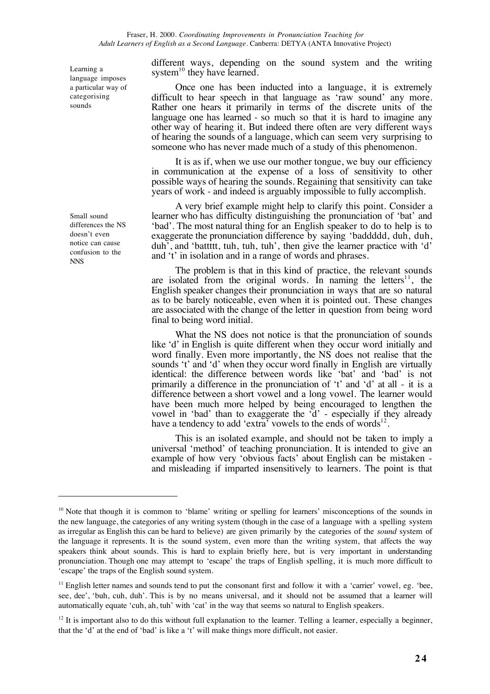Learning a language imposes a particular way of categorising sounds

Small sound differences the NS doesn't even notice can cause confusion to the NNS

 $\overline{a}$ 

different ways, depending on the sound system and the writing system $10$  they have learned.

Once one has been inducted into a language, it is extremely difficult to hear speech in that language as 'raw sound' any more. Rather one hears it primarily in terms of the discrete units of the language one has learned - so much so that it is hard to imagine any other way of hearing it. But indeed there often are very different ways of hearing the sounds of a language, which can seem very surprising to someone who has never made much of a study of this phenomenon.

It is as if, when we use our mother tongue, we buy our efficiency in communication at the expense of a loss of sensitivity to other possible ways of hearing the sounds. Regaining that sensitivity can take years of work - and indeed is arguably impossible to fully accomplish.

A very brief example might help to clarify this point. Consider a learner who has difficulty distinguishing the pronunciation of 'bat' and 'bad'. The most natural thing for an English speaker to do to help is to exaggerate the pronunciation difference by saying 'baddddd, duh, duh, duh', and 'battttt, tuh, tuh, tuh', then give the learner practice with 'd' and 't' in isolation and in a range of words and phrases.

The problem is that in this kind of practice, the relevant sounds are isolated from the original words. In naming the letters<sup>11</sup>, the English speaker changes their pronunciation in ways that are so natural as to be barely noticeable, even when it is pointed out. These changes are associated with the change of the letter in question from being word final to being word initial.

What the NS does not notice is that the pronunciation of sounds like 'd' in English is quite different when they occur word initially and word finally. Even more importantly, the NS does not realise that the sounds 't' and 'd' when they occur word finally in English are virtually identical: the difference between words like 'bat' and 'bad' is not primarily a difference in the pronunciation of 't' and 'd' at all - it is a difference between a short vowel and a long vowel. The learner would have been much more helped by being encouraged to lengthen the vowel in 'bad' than to exaggerate the 'd' - especially if they already have a tendency to add 'extra' vowels to the ends of words $12$ .

This is an isolated example, and should not be taken to imply a universal 'method' of teaching pronunciation. It is intended to give an example of how very 'obvious facts' about English can be mistaken and misleading if imparted insensitively to learners. The point is that

<sup>&</sup>lt;sup>10</sup> Note that though it is common to 'blame' writing or spelling for learners' misconceptions of the sounds in the new language, the categories of any writing system (though in the case of a language with a spelling system as irregular as English this can be hard to believe) are given primarily by the categories of the *sound* system of the language it represents. It is the sound system, even more than the writing system, that affects the way speakers think about sounds. This is hard to explain briefly here, but is very important in understanding pronunciation. Though one may attempt to 'escape' the traps of English spelling, it is much more difficult to 'escape' the traps of the English sound system.

 $11$  English letter names and sounds tend to put the consonant first and follow it with a 'carrier' vowel, eg. 'bee, see, dee', 'buh, cuh, duh'. This is by no means universal, and it should not be assumed that a learner will automatically equate 'cuh, ah, tuh' with 'cat' in the way that seems so natural to English speakers.

 $12$  It is important also to do this without full explanation to the learner. Telling a learner, especially a beginner, that the 'd' at the end of 'bad' is like a 't' will make things more difficult, not easier.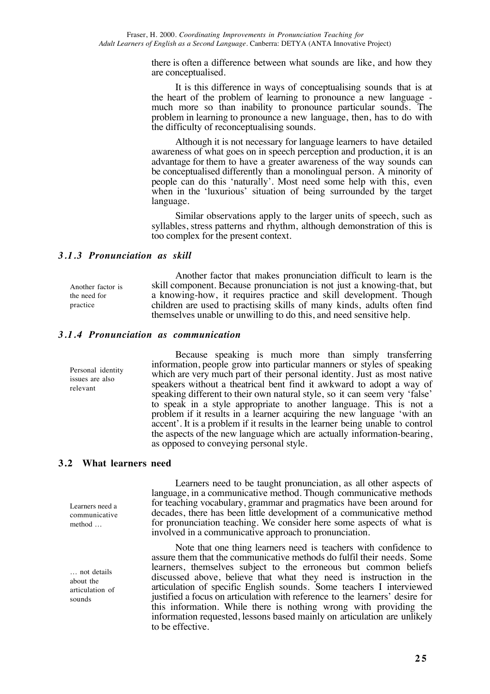> there is often a difference between what sounds are like, and how they are conceptualised.

> It is this difference in ways of conceptualising sounds that is at the heart of the problem of learning to pronounce a new language much more so than inability to pronounce particular sounds. The problem in learning to pronounce a new language, then, has to do with the difficulty of reconceptualising sounds.

> Although it is not necessary for language learners to have detailed awareness of what goes on in speech perception and production, it is an advantage for them to have a greater awareness of the way sounds can be conceptualised differently than a monolingual person. A minority of people can do this 'naturally'. Most need some help with this, even when in the 'luxurious' situation of being surrounded by the target language.

> Similar observations apply to the larger units of speech, such as syllables, stress patterns and rhythm, although demonstration of this is too complex for the present context.

#### *3.1.3 Pronunciation as skill*

Another factor is the need for practice

Another factor that makes pronunciation difficult to learn is the skill component. Because pronunciation is not just a knowing-that, but a knowing-how, it requires practice and skill development. Though children are used to practising skills of many kinds, adults often find themselves unable or unwilling to do this, and need sensitive help.

#### *3.1.4 Pronunciation as communication*

Personal identity issues are also relevant

Because speaking is much more than simply transferring information, people grow into particular manners or styles of speaking which are very much part of their personal identity. Just as most native speakers without a theatrical bent find it awkward to adopt a way of speaking different to their own natural style, so it can seem very 'false' to speak in a style appropriate to another language. This is not a problem if it results in a learner acquiring the new language 'with an accent'. It is a problem if it results in the learner being unable to control the aspects of the new language which are actually information-bearing, as opposed to conveying personal style.

#### **3.2 What learners need**

Learners need a communicative method …

… not details about the articulation of sounds

Learners need to be taught pronunciation, as all other aspects of language, in a communicative method. Though communicative methods for teaching vocabulary, grammar and pragmatics have been around for decades, there has been little development of a communicative method for pronunciation teaching. We consider here some aspects of what is involved in a communicative approach to pronunciation.

Note that one thing learners need is teachers with confidence to assure them that the communicative methods do fulfil their needs. Some learners, themselves subject to the erroneous but common beliefs discussed above, believe that what they need is instruction in the articulation of specific English sounds. Some teachers I interviewed justified a focus on articulation with reference to the learners' desire for this information. While there is nothing wrong with providing the information requested, lessons based mainly on articulation are unlikely to be effective.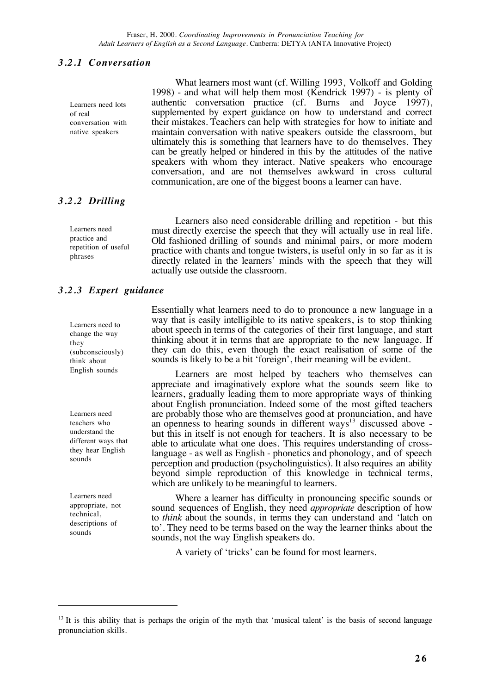#### *3.2.1 Conversation*

Learners need lots of real conversation with native speakers

What learners most want (cf. Willing 1993, Volkoff and Golding 1998) - and what will help them most (Kendrick 1997) - is plenty of authentic conversation practice (cf. Burns and Joyce 1997), supplemented by expert guidance on how to understand and correct their mistakes. Teachers can help with strategies for how to initiate and maintain conversation with native speakers outside the classroom, but ultimately this is something that learners have to do themselves. They can be greatly helped or hindered in this by the attitudes of the native speakers with whom they interact. Native speakers who encourage conversation, and are not themselves awkward in cross cultural communication, are one of the biggest boons a learner can have.

#### *3.2.2 Drilling*

Learners need practice and repetition of useful phrases

Learners also need considerable drilling and repetition - but this must directly exercise the speech that they will actually use in real life. Old fashioned drilling of sounds and minimal pairs, or more modern practice with chants and tongue twisters, is useful only in so far as it is directly related in the learners' minds with the speech that they will actually use outside the classroom.

### *3.2.3 Expert guidance*

Learners need to change the way they (subconsciously) think about English sounds

Learners need teachers who understand the different ways that they hear English sounds

Learners need appropriate, not technical, descriptions of sounds

 $\overline{a}$ 

Essentially what learners need to do to pronounce a new language in a way that is easily intelligible to its native speakers, is to stop thinking about speech in terms of the categories of their first language, and start thinking about it in terms that are appropriate to the new language. If they can do this, even though the exact realisation of some of the sounds is likely to be a bit 'foreign', their meaning will be evident.

Learners are most helped by teachers who themselves can appreciate and imaginatively explore what the sounds seem like to learners, gradually leading them to more appropriate ways of thinking about English pronunciation. Indeed some of the most gifted teachers are probably those who are themselves good at pronunciation, and have an openness to hearing sounds in different ways $\frac{13}{13}$  discussed above but this in itself is not enough for teachers. It is also necessary to be able to articulate what one does. This requires understanding of crosslanguage - as well as English - phonetics and phonology, and of speech perception and production (psycholinguistics). It also requires an ability beyond simple reproduction of this knowledge in technical terms, which are unlikely to be meaningful to learners.

Where a learner has difficulty in pronouncing specific sounds or sound sequences of English, they need *appropriate* description of how to *think* about the sounds, in terms they can understand and 'latch on to'. They need to be terms based on the way the learner thinks about the sounds, not the way English speakers do.

A variety of 'tricks' can be found for most learners.

 $13$  It is this ability that is perhaps the origin of the myth that 'musical talent' is the basis of second language pronunciation skills.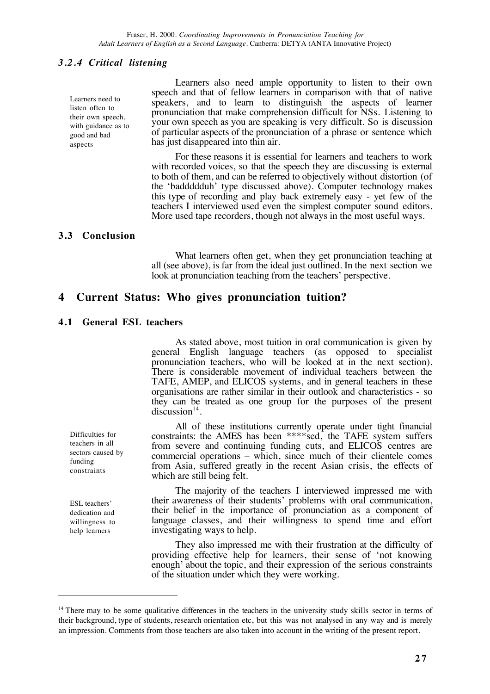#### *3.2.4 Critical listening*

Learners need to listen often to their own speech, with guidance as to good and bad aspects

Learners also need ample opportunity to listen to their own speech and that of fellow learners in comparison with that of native speakers, and to learn to distinguish the aspects of learner pronunciation that make comprehension difficult for NSs. Listening to your own speech as you are speaking is very difficult. So is discussion of particular aspects of the pronunciation of a phrase or sentence which has just disappeared into thin air.

For these reasons it is essential for learners and teachers to work with recorded voices, so that the speech they are discussing is external to both of them, and can be referred to objectively without distortion (of the 'baddddduh' type discussed above). Computer technology makes this type of recording and play back extremely easy - yet few of the teachers I interviewed used even the simplest computer sound editors. More used tape recorders, though not always in the most useful ways.

#### **3.3 Conclusion**

What learners often get, when they get pronunciation teaching at all (see above), is far from the ideal just outlined. In the next section we look at pronunciation teaching from the teachers' perspective.

### **4 Current Status: Who gives pronunciation tuition?**

#### **4.1 General ESL teachers**

As stated above, most tuition in oral communication is given by general English language teachers (as opposed to specialist pronunciation teachers, who will be looked at in the next section). There is considerable movement of individual teachers between the TAFE, AMEP, and ELICOS systems, and in general teachers in these organisations are rather similar in their outlook and characteristics - so they can be treated as one group for the purposes of the present  $discussion<sup>14</sup>$ .

All of these institutions currently operate under tight financial constraints: the AMES has been \*\*\*\*sed, the TAFE system suffers from severe and continuing funding cuts, and ELICOS centres are commercial operations – which, since much of their clientele comes from Asia, suffered greatly in the recent Asian crisis, the effects of which are still being felt.

The majority of the teachers I interviewed impressed me with their awareness of their students' problems with oral communication, their belief in the importance of pronunciation as a component of language classes, and their willingness to spend time and effort investigating ways to help.

They also impressed me with their frustration at the difficulty of providing effective help for learners, their sense of 'not knowing enough' about the topic, and their expression of the serious constraints of the situation under which they were working.

Difficulties for teachers in all sectors caused by funding constraints

ESL teachers' dedication and willingness to help learners

 $14$  There may to be some qualitative differences in the teachers in the university study skills sector in terms of their background, type of students, research orientation etc, but this was not analysed in any way and is merely an impression. Comments from those teachers are also taken into account in the writing of the present report.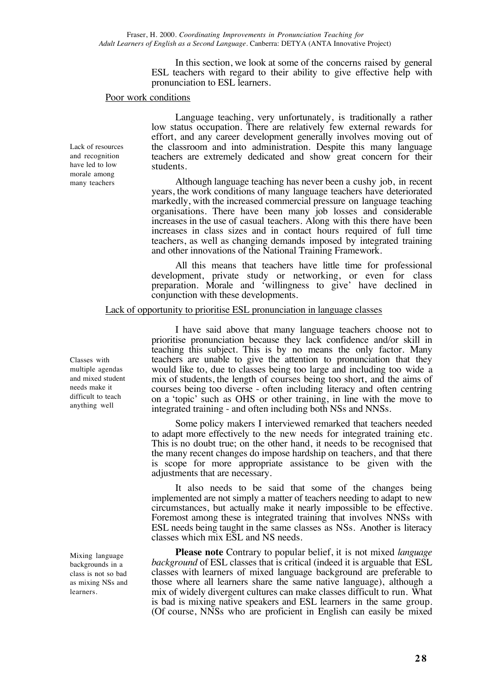In this section, we look at some of the concerns raised by general ESL teachers with regard to their ability to give effective help with pronunciation to ESL learners.

#### Poor work conditions

Language teaching, very unfortunately, is traditionally a rather low status occupation. There are relatively few external rewards for effort, and any career development generally involves moving out of the classroom and into administration. Despite this many language teachers are extremely dedicated and show great concern for their students.

Although language teaching has never been a cushy job, in recent years, the work conditions of many language teachers have deteriorated markedly, with the increased commercial pressure on language teaching organisations. There have been many job losses and considerable increases in the use of casual teachers. Along with this there have been increases in class sizes and in contact hours required of full time teachers, as well as changing demands imposed by integrated training and other innovations of the National Training Framework.

All this means that teachers have little time for professional development, private study or networking, or even for class preparation. Morale and 'willingness to give' have declined in conjunction with these developments.

### Lack of opportunity to prioritise ESL pronunciation in language classes

I have said above that many language teachers choose not to prioritise pronunciation because they lack confidence and/or skill in teaching this subject. This is by no means the only factor. Many teachers are unable to give the attention to pronunciation that they would like to, due to classes being too large and including too wide a mix of students, the length of courses being too short, and the aims of courses being too diverse - often including literacy and often centring on a 'topic' such as OHS or other training, in line with the move to integrated training - and often including both NSs and NNSs.

Some policy makers I interviewed remarked that teachers needed to adapt more effectively to the new needs for integrated training etc. This is no doubt true; on the other hand, it needs to be recognised that the many recent changes do impose hardship on teachers, and that there is scope for more appropriate assistance to be given with the adjustments that are necessary.

It also needs to be said that some of the changes being implemented are not simply a matter of teachers needing to adapt to new circumstances, but actually make it nearly impossible to be effective. Foremost among these is integrated training that involves NNSs with ESL needs being taught in the same classes as NSs. Another is literacy classes which mix ESL and NS needs.

**Please note** Contrary to popular belief, it is not mixed *language background* of ESL classes that is critical (indeed it is arguable that ESL classes with learners of mixed language background are preferable to those where all learners share the same native language), although a mix of widely divergent cultures can make classes difficult to run. What is bad is mixing native speakers and ESL learners in the same group. (Of course, NNSs who are proficient in English can easily be mixed

many teachers

Lack of resources and recognition have led to low morale among

Classes with multiple agendas and mixed student needs make it difficult to teach anything well

Mixing language backgrounds in a class is not so bad as mixing NSs and learners.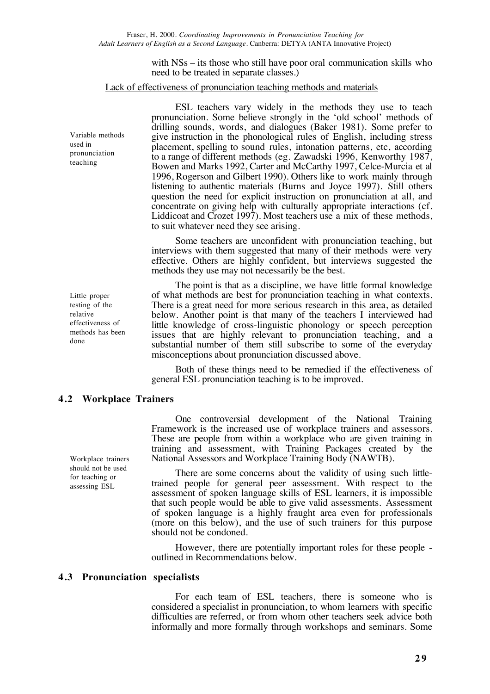with NSs – its those who still have poor oral communication skills who need to be treated in separate classes.)

#### Lack of effectiveness of pronunciation teaching methods and materials

Variable methods used in pronunciation teaching

Little proper testing of the relative effectiveness of methods has been done

ESL teachers vary widely in the methods they use to teach pronunciation. Some believe strongly in the 'old school' methods of drilling sounds, words, and dialogues (Baker 1981). Some prefer to give instruction in the phonological rules of English, including stress placement, spelling to sound rules, intonation patterns, etc, according to a range of different methods (eg. Zawadski 1996, Kenworthy 1987, Bowen and Marks 1992, Carter and McCarthy 1997, Celce-Murcia et al 1996, Rogerson and Gilbert 1990). Others like to work mainly through listening to authentic materials (Burns and Joyce 1997). Still others question the need for explicit instruction on pronunciation at all, and concentrate on giving help with culturally appropriate interactions (cf. Liddicoat and Crozet 1997). Most teachers use a mix of these methods, to suit whatever need they see arising.

Some teachers are unconfident with pronunciation teaching, but interviews with them suggested that many of their methods were very effective. Others are highly confident, but interviews suggested the methods they use may not necessarily be the best.

The point is that as a discipline, we have little formal knowledge of what methods are best for pronunciation teaching in what contexts. There is a great need for more serious research in this area, as detailed below. Another point is that many of the teachers I interviewed had little knowledge of cross-linguistic phonology or speech perception issues that are highly relevant to pronunciation teaching, and a substantial number of them still subscribe to some of the everyday misconceptions about pronunciation discussed above.

Both of these things need to be remedied if the effectiveness of general ESL pronunciation teaching is to be improved.

#### **4.2 Workplace Trainers**

Workplace trainers should not be used for teaching or assessing ESL

One controversial development of the National Training Framework is the increased use of workplace trainers and assessors. These are people from within a workplace who are given training in training and assessment, with Training Packages created by the National Assessors and Workplace Training Body (NAWTB).

There are some concerns about the validity of using such littletrained people for general peer assessment. With respect to the assessment of spoken language skills of ESL learners, it is impossible that such people would be able to give valid assessments. Assessment of spoken language is a highly fraught area even for professionals (more on this below), and the use of such trainers for this purpose should not be condoned.

However, there are potentially important roles for these people outlined in Recommendations below.

### **4.3 Pronunciation specialists**

For each team of ESL teachers, there is someone who is considered a specialist in pronunciation, to whom learners with specific difficulties are referred, or from whom other teachers seek advice both informally and more formally through workshops and seminars. Some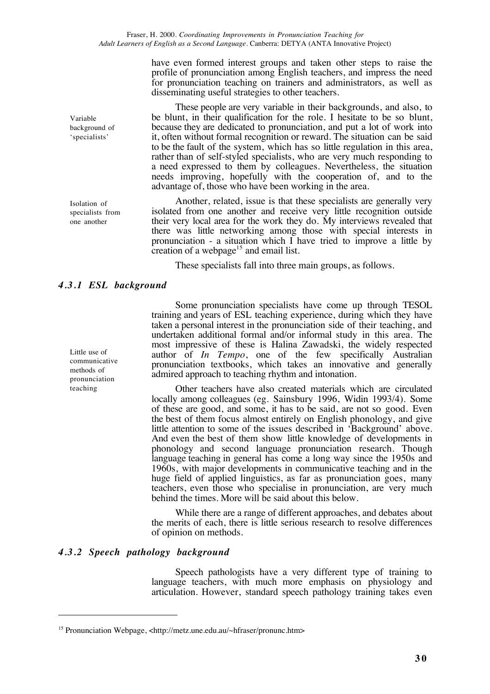> have even formed interest groups and taken other steps to raise the profile of pronunciation among English teachers, and impress the need for pronunciation teaching on trainers and administrators, as well as disseminating useful strategies to other teachers.

> These people are very variable in their backgrounds, and also, to be blunt, in their qualification for the role. I hesitate to be so blunt, because they are dedicated to pronunciation, and put a lot of work into it, often without formal recognition or reward. The situation can be said to be the fault of the system, which has so little regulation in this area, rather than of self-styled specialists, who are very much responding to a need expressed to them by colleagues. Nevertheless, the situation needs improving, hopefully with the cooperation of, and to the advantage of, those who have been working in the area.

> Another, related, issue is that these specialists are generally very isolated from one another and receive very little recognition outside their very local area for the work they do. My interviews revealed that there was little networking among those with special interests in pronunciation - a situation which  $\overline{I}$  have tried to improve a little by creation of a webpage<sup>15</sup> and email list.

These specialists fall into three main groups, as follows.

#### *4.3.1 ESL background*

Little use of communicative methods of pronunciation teaching

Variable background of 'specialists'

Isolation of specialists from one another

 $\overline{a}$ 

Some pronunciation specialists have come up through TESOL training and years of ESL teaching experience, during which they have taken a personal interest in the pronunciation side of their teaching, and undertaken additional formal and/or informal study in this area. The most impressive of these is Halina Zawadski, the widely respected author of *In Tempo*, one of the few specifically Australian pronunciation textbooks, which takes an innovative and generally admired approach to teaching rhythm and intonation.

Other teachers have also created materials which are circulated locally among colleagues (eg. Sainsbury 1996, Widin 1993/4). Some of these are good, and some, it has to be said, are not so good. Even the best of them focus almost entirely on English phonology, and give little attention to some of the issues described in 'Background' above. And even the best of them show little knowledge of developments in phonology and second language pronunciation research. Though language teaching in general has come a long way since the 1950s and 1960s, with major developments in communicative teaching and in the huge field of applied linguistics, as far as pronunciation goes, many teachers, even those who specialise in pronunciation, are very much behind the times. More will be said about this below.

While there are a range of different approaches, and debates about the merits of each, there is little serious research to resolve differences of opinion on methods.

### *4.3.2 Speech pathology background*

Speech pathologists have a very different type of training to language teachers, with much more emphasis on physiology and articulation. However, standard speech pathology training takes even

<sup>15</sup> Pronunciation Webpage, <http://metz.une.edu.au/~hfraser/pronunc.htm>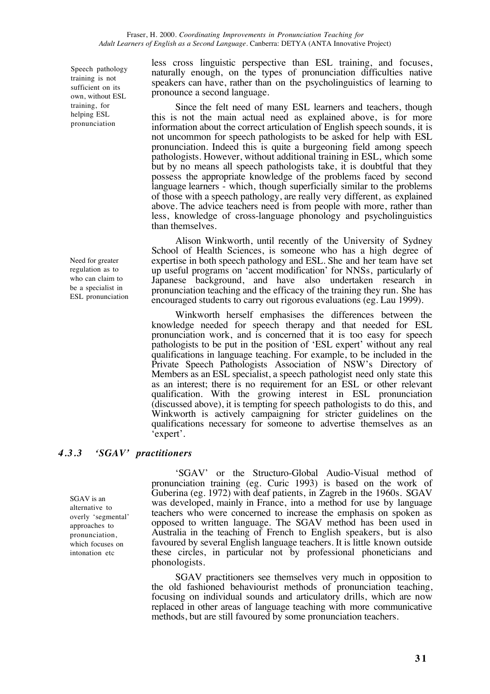Speech pathology training is not sufficient on its own, without ESL training, for helping ESL pronunciation

Need for greater regulation as to who can claim to be a specialist in ESL pronunciation less cross linguistic perspective than ESL training, and focuses, naturally enough, on the types of pronunciation difficulties native speakers can have, rather than on the psycholinguistics of learning to pronounce a second language.

Since the felt need of many ESL learners and teachers, though this is not the main actual need as explained above, is for more information about the correct articulation of English speech sounds, it is not uncommon for speech pathologists to be asked for help with ESL pronunciation. Indeed this is quite a burgeoning field among speech pathologists. However, without additional training in ESL, which some but by no means all speech pathologists take, it is doubtful that they possess the appropriate knowledge of the problems faced by second language learners - which, though superficially similar to the problems of those with a speech pathology, are really very different, as explained above. The advice teachers need is from people with more, rather than less, knowledge of cross-language phonology and psycholinguistics than themselves.

Alison Winkworth, until recently of the University of Sydney School of Health Sciences, is someone who has a high degree of expertise in both speech pathology and ESL. She and her team have set up useful programs on 'accent modification' for NNSs, particularly of Japanese background, and have also undertaken research in pronunciation teaching and the efficacy of the training they run. She has encouraged students to carry out rigorous evaluations (eg. Lau 1999).

Winkworth herself emphasises the differences between the knowledge needed for speech therapy and that needed for ESL pronunciation work, and is concerned that it is too easy for speech pathologists to be put in the position of 'ESL expert' without any real qualifications in language teaching. For example, to be included in the Private Speech Pathologists Association of NSW's Directory of Members as an ESL specialist, a speech pathologist need only state this as an interest; there is no requirement for an ESL or other relevant qualification. With the growing interest in ESL pronunciation (discussed above), it is tempting for speech pathologists to do this, and Winkworth is actively campaigning for stricter guidelines on the qualifications necessary for someone to advertise themselves as an 'expert'.

## *4.3.3 'SGAV' practitioners*

SGAV is an alternative to overly 'segmental' approaches to pronunciation, which focuses on intonation etc

'SGAV' or the Structuro-Global Audio-Visual method of pronunciation training (eg. Curic 1993) is based on the work of Guberina (eg. 1972) with deaf patients, in Zagreb in the 1960s. SGAV was developed, mainly in France, into a method for use by language teachers who were concerned to increase the emphasis on spoken as opposed to written language. The SGAV method has been used in Australia in the teaching of French to English speakers, but is also favoured by several English language teachers. It is little known outside these circles, in particular not by professional phoneticians and phonologists.

SGAV practitioners see themselves very much in opposition to the old fashioned behaviourist methods of pronunciation teaching, focusing on individual sounds and articulatory drills, which are now replaced in other areas of language teaching with more communicative methods, but are still favoured by some pronunciation teachers.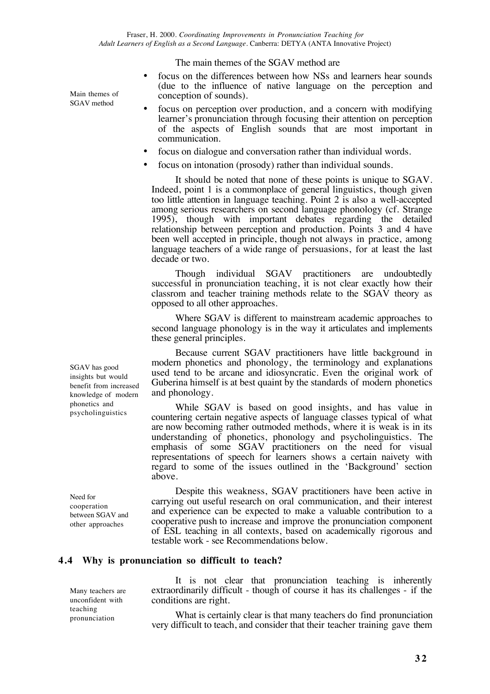The main themes of the SGAV method are

- focus on the differences between how NSs and learners hear sounds (due to the influence of native language on the perception and conception of sounds).
- focus on perception over production, and a concern with modifying learner's pronunciation through focusing their attention on perception of the aspects of English sounds that are most important in communication.
- focus on dialogue and conversation rather than individual words.
- focus on intonation (prosody) rather than individual sounds.

It should be noted that none of these points is unique to SGAV. Indeed, point 1 is a commonplace of general linguistics, though given too little attention in language teaching. Point 2 is also a well-accepted among serious researchers on second language phonology (cf. Strange 1995), though with important debates regarding the detailed relationship between perception and production. Points 3 and 4 have been well accepted in principle, though not always in practice, among language teachers of a wide range of persuasions, for at least the last decade or two.

Though individual SGAV practitioners are undoubtedly successful in pronunciation teaching, it is not clear exactly how their classrom and teacher training methods relate to the SGAV theory as opposed to all other approaches.

Where SGAV is different to mainstream academic approaches to second language phonology is in the way it articulates and implements these general principles.

Because current SGAV practitioners have little background in modern phonetics and phonology, the terminology and explanations used tend to be arcane and idiosyncratic. Even the original work of Guberina himself is at best quaint by the standards of modern phonetics and phonology.

While SGAV is based on good insights, and has value in countering certain negative aspects of language classes typical of what are now becoming rather outmoded methods, where it is weak is in its understanding of phonetics, phonology and psycholinguistics. The emphasis of some SGAV practitioners on the need for visual representations of speech for learners shows a certain naivety with regard to some of the issues outlined in the 'Background' section above.

Despite this weakness, SGAV practitioners have been active in carrying out useful research on oral communication, and their interest and experience can be expected to make a valuable contribution to a cooperative push to increase and improve the pronunciation component of ESL teaching in all contexts, based on academically rigorous and testable work - see Recommendations below.

### **4.4 Why is pronunciation so difficult to teach?**

Many teachers are unconfident with teaching pronunciation

It is not clear that pronunciation teaching is inherently extraordinarily difficult - though of course it has its challenges - if the conditions are right.

What is certainly clear is that many teachers do find pronunciation very difficult to teach, and consider that their teacher training gave them

SGAV has good insights but would benefit from increased knowledge of modern phonetics and psycholinguistics

Main themes of SGAV method

Need for cooperation

between SGAV and other approaches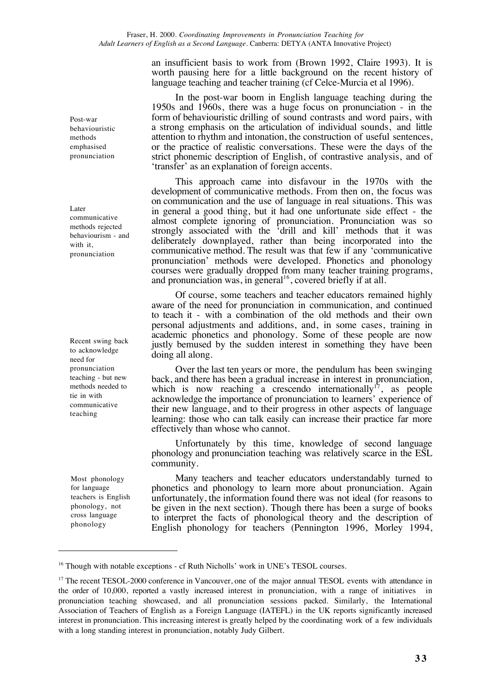> an insufficient basis to work from (Brown 1992, Claire 1993). It is worth pausing here for a little background on the recent history of language teaching and teacher training (cf Celce-Murcia et al 1996).

> In the post-war boom in English language teaching during the 1950s and 1960s, there was a huge focus on pronunciation - in the form of behaviouristic drilling of sound contrasts and word pairs, with a strong emphasis on the articulation of individual sounds, and little attention to rhythm and intonation, the construction of useful sentences, or the practice of realistic conversations. These were the days of the strict phonemic description of English, of contrastive analysis, and of 'transfer' as an explanation of foreign accents.

> This approach came into disfavour in the 1970s with the development of communicative methods. From then on, the focus was on communication and the use of language in real situations. This was in general a good thing, but it had one unfortunate side effect - the almost complete ignoring of pronunciation. Pronunciation was so strongly associated with the 'drill and kill' methods that it was deliberately downplayed, rather than being incorporated into the communicative method. The result was that few if any 'communicative pronunciation' methods were developed. Phonetics and phonology courses were gradually dropped from many teacher training programs, and pronunciation was, in general<sup>16</sup>, covered briefly if at all.

> Of course, some teachers and teacher educators remained highly aware of the need for pronunciation in communication, and continued to teach it - with a combination of the old methods and their own personal adjustments and additions, and, in some cases, training in academic phonetics and phonology. Some of these people are now justly bemused by the sudden interest in something they have been doing all along.

> Over the last ten years or more, the pendulum has been swinging back, and there has been a gradual increase in interest in pronunciation, which is now reaching a crescendo internationally<sup>17</sup>, as people acknowledge the importance of pronunciation to learners' experience of their new language, and to their progress in other aspects of language learning: those who can talk easily can increase their practice far more effectively than whose who cannot.

> Unfortunately by this time, knowledge of second language phonology and pronunciation teaching was relatively scarce in the ESL community.

> Many teachers and teacher educators understandably turned to phonetics and phonology to learn more about pronunciation. Again unfortunately, the information found there was not ideal (for reasons to be given in the next section). Though there has been a surge of books to interpret the facts of phonological theory and the description of English phonology for teachers (Pennington 1996, Morley 1994,

Post-war behaviouristic methods emphasised pronunciation

Later communicative methods rejected behaviourism - and with it, pronunciation

Recent swing back to acknowledge need for pronunciation teaching - but new methods needed to tie in with communicative teaching

Most phonology for language teachers is English phonology, not cross language phonology

<sup>&</sup>lt;sup>16</sup> Though with notable exceptions - cf Ruth Nicholls' work in UNE's TESOL courses.

 $17$  The recent TESOL-2000 conference in Vancouver, one of the major annual TESOL events with attendance in the order of 10,000, reported a vastly increased interest in pronunciation, with a range of initiatives in pronunciation teaching showcased, and all pronunciation sessions packed. Similarly, the International Association of Teachers of English as a Foreign Language (IATEFL) in the UK reports significantly increased interest in pronunciation. This increasing interest is greatly helped by the coordinating work of a few individuals with a long standing interest in pronunciation, notably Judy Gilbert.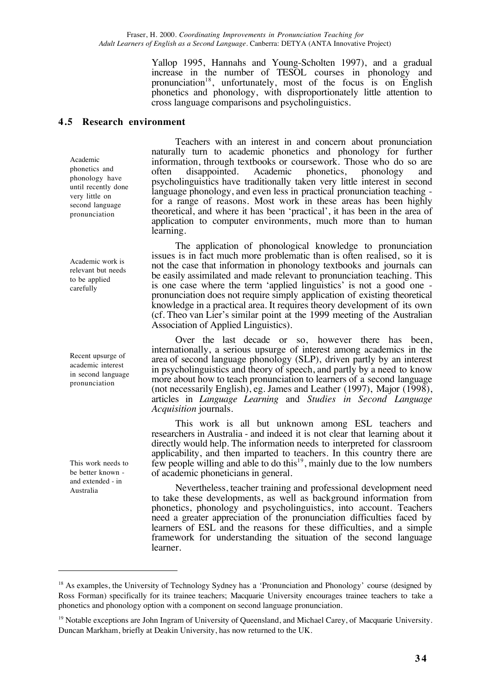Yallop 1995, Hannahs and Young-Scholten 1997), and a gradual increase in the number of TESOL courses in phonology and pronunciation<sup>18</sup>, unfortunately, most of the focus is on English phonetics and phonology, with disproportionately little attention to cross language comparisons and psycholinguistics.

### **4.5 Research environment**

Academic phonetics and phonology have until recently done very little on second language pronunciation

Teachers with an interest in and concern about pronunciation naturally turn to academic phonetics and phonology for further information, through textbooks or coursework. Those who do so are often disappointed. Academic phonetics, phonology and psycholinguistics have traditionally taken very little interest in second language phonology, and even less in practical pronunciation teaching for a range of reasons. Most work in these areas has been highly theoretical, and where it has been 'practical', it has been in the area of application to computer environments, much more than to human learning.

The application of phonological knowledge to pronunciation issues is in fact much more problematic than is often realised, so it is not the case that information in phonology textbooks and journals can be easily assimilated and made relevant to pronunciation teaching. This is one case where the term 'applied linguistics' is not a good one pronunciation does not require simply application of existing theoretical knowledge in a practical area. It requires theory development of its own (cf. Theo van Lier's similar point at the 1999 meeting of the Australian Association of Applied Linguistics).

Over the last decade or so, however there has been, internationally, a serious upsurge of interest among academics in the area of second language phonology (SLP), driven partly by an interest in psycholinguistics and theory of speech, and partly by a need to know more about how to teach pronunciation to learners of a second language (not necessarily English), eg. James and Leather (1997), Major (1998), articles in *Language Learning* and *Studies in Second Language Acquisition* journals.

This work is all but unknown among ESL teachers and researchers in Australia - and indeed it is not clear that learning about it directly would help. The information needs to interpreted for classroom applicability, and then imparted to teachers. In this country there are few people willing and able to do this<sup>19</sup>, mainly due to the low numbers of academic phoneticians in general.

Nevertheless, teacher training and professional development need to take these developments, as well as background information from phonetics, phonology and psycholinguistics, into account. Teachers need a greater appreciation of the pronunciation difficulties faced by learners of ESL and the reasons for these difficulties, and a simple framework for understanding the situation of the second language learner.

Academic work is relevant but needs to be applied carefully

Recent upsurge of academic interest in second language pronunciation

This work needs to be better known and extended - in Australia

<sup>&</sup>lt;sup>18</sup> As examples, the University of Technology Sydney has a 'Pronunciation and Phonology' course (designed by Ross Forman) specifically for its trainee teachers; Macquarie University encourages trainee teachers to take a phonetics and phonology option with a component on second language pronunciation.

<sup>&</sup>lt;sup>19</sup> Notable exceptions are John Ingram of University of Queensland, and Michael Carey, of Macquarie University. Duncan Markham, briefly at Deakin University, has now returned to the UK.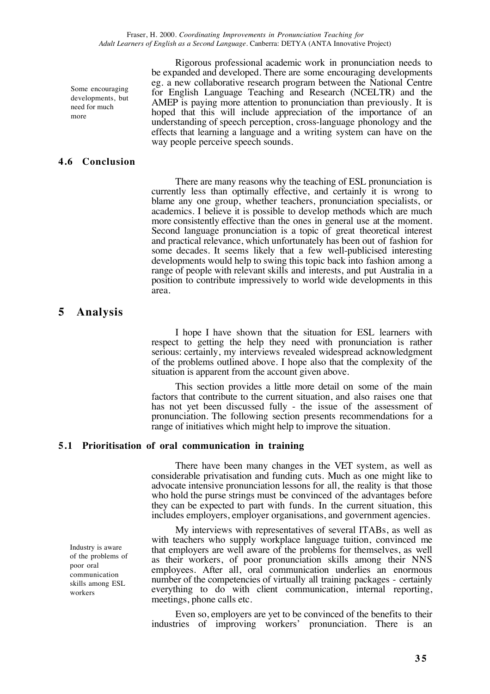Some encouraging developments, but need for much more

Rigorous professional academic work in pronunciation needs to be expanded and developed. There are some encouraging developments eg. a new collaborative research program between the National Centre for English Language Teaching and Research (NCELTR) and the AMEP is paying more attention to pronunciation than previously. It is hoped that this will include appreciation of the importance of an understanding of speech perception, cross-language phonology and the effects that learning a language and a writing system can have on the way people perceive speech sounds.

#### **4.6 Conclusion**

There are many reasons why the teaching of ESL pronunciation is currently less than optimally effective, and certainly it is wrong to blame any one group, whether teachers, pronunciation specialists, or academics. I believe it is possible to develop methods which are much more consistently effective than the ones in general use at the moment. Second language pronunciation is a topic of great theoretical interest and practical relevance, which unfortunately has been out of fashion for some decades. It seems likely that a few well-publicised interesting developments would help to swing this topic back into fashion among a range of people with relevant skills and interests, and put Australia in a position to contribute impressively to world wide developments in this area.

### **5 Analysis**

I hope I have shown that the situation for ESL learners with respect to getting the help they need with pronunciation is rather serious: certainly, my interviews revealed widespread acknowledgment of the problems outlined above. I hope also that the complexity of the situation is apparent from the account given above.

This section provides a little more detail on some of the main factors that contribute to the current situation, and also raises one that has not yet been discussed fully - the issue of the assessment of pronunciation. The following section presents recommendations for a range of initiatives which might help to improve the situation.

#### **5.1 Prioritisation of oral communication in training**

There have been many changes in the VET system, as well as considerable privatisation and funding cuts. Much as one might like to advocate intensive pronunciation lessons for all, the reality is that those who hold the purse strings must be convinced of the advantages before they can be expected to part with funds. In the current situation, this includes employers, employer organisations, and government agencies.

My interviews with representatives of several ITABs, as well as with teachers who supply workplace language tuition, convinced me that employers are well aware of the problems for themselves, as well as their workers, of poor pronunciation skills among their NNS employees. After all, oral communication underlies an enormous number of the competencies of virtually all training packages - certainly everything to do with client communication, internal reporting, meetings, phone calls etc.

Even so, employers are yet to be convinced of the benefits to their industries of improving workers' pronunciation. There is an

Industry is aware of the problems of poor oral communication skills among ESL workers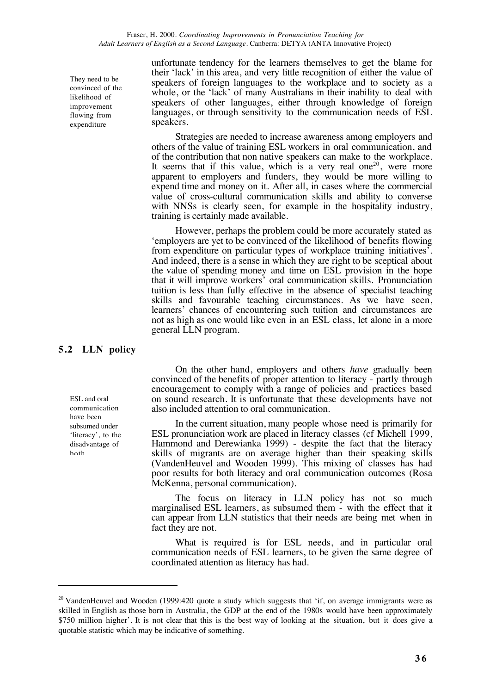They need to be convinced of the likelihood of improvement flowing from expenditure

unfortunate tendency for the learners themselves to get the blame for their 'lack' in this area, and very little recognition of either the value of speakers of foreign languages to the workplace and to society as a whole, or the 'lack' of many Australians in their inability to deal with speakers of other languages, either through knowledge of foreign languages, or through sensitivity to the communication needs of ESL speakers.

Strategies are needed to increase awareness among employers and others of the value of training ESL workers in oral communication, and of the contribution that non native speakers can make to the workplace. It seems that if this value, which is a very real one<sup>20</sup>, were more apparent to employers and funders, they would be more willing to expend time and money on it. After all, in cases where the commercial value of cross-cultural communication skills and ability to converse with NNSs is clearly seen, for example in the hospitality industry, training is certainly made available.

However, perhaps the problem could be more accurately stated as 'employers are yet to be convinced of the likelihood of benefits flowing from expenditure on particular types of workplace training initiatives'. And indeed, there is a sense in which they are right to be sceptical about the value of spending money and time on ESL provision in the hope that it will improve workers' oral communication skills. Pronunciation tuition is less than fully effective in the absence of specialist teaching skills and favourable teaching circumstances. As we have seen, learners' chances of encountering such tuition and circumstances are not as high as one would like even in an ESL class, let alone in a more general LLN program.

## **5.2 LLN policy**

ESL and oral communication have been subsumed under 'literacy', to the disadvantage of both

 $\overline{a}$ 

On the other hand, employers and others *have* gradually been convinced of the benefits of proper attention to literacy - partly through encouragement to comply with a range of policies and practices based on sound research. It is unfortunate that these developments have not also included attention to oral communication.

In the current situation, many people whose need is primarily for ESL pronunciation work are placed in literacy classes (cf Michell 1999, Hammond and Derewianka 1999) - despite the fact that the literacy skills of migrants are on average higher than their speaking skills (VandenHeuvel and Wooden 1999). This mixing of classes has had poor results for both literacy and oral communication outcomes (Rosa McKenna, personal communication).

The focus on literacy in LLN policy has not so much marginalised ESL learners, as subsumed them - with the effect that it can appear from LLN statistics that their needs are being met when in fact they are not.

What is required is for ESL needs, and in particular oral communication needs of ESL learners, to be given the same degree of coordinated attention as literacy has had.

 $20$  VandenHeuvel and Wooden (1999:420 quote a study which suggests that 'if, on average immigrants were as skilled in English as those born in Australia, the GDP at the end of the 1980s would have been approximately \$750 million higher'. It is not clear that this is the best way of looking at the situation, but it does give a quotable statistic which may be indicative of something.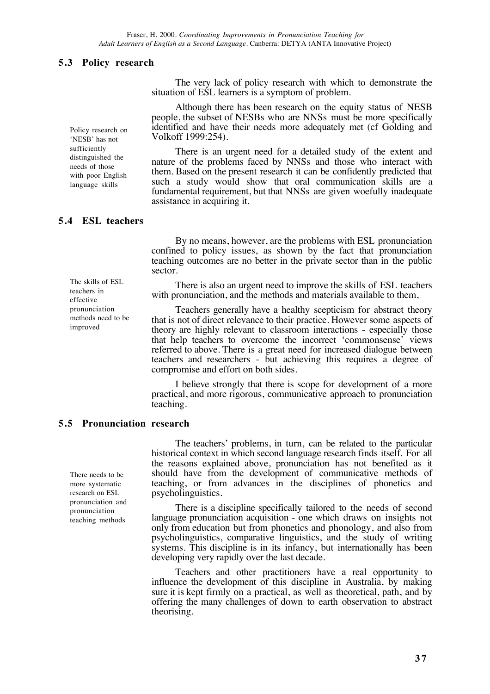#### **5.3 Policy research**

The very lack of policy research with which to demonstrate the situation of ESL learners is a symptom of problem.

Although there has been research on the equity status of NESB people, the subset of NESBs who are NNSs must be more specifically identified and have their needs more adequately met (cf Golding and Volkoff 1999:254).

There is an urgent need for a detailed study of the extent and nature of the problems faced by NNSs and those who interact with them. Based on the present research it can be confidently predicted that such a study would show that oral communication skills are a fundamental requirement, but that NNSs are given woefully inadequate assistance in acquiring it.

#### **5.4 ESL teachers**

Policy research on 'NESB' has not sufficiently distinguished the needs of those with poor English language skills

> By no means, however, are the problems with ESL pronunciation confined to policy issues, as shown by the fact that pronunciation teaching outcomes are no better in the private sector than in the public sector.

> There is also an urgent need to improve the skills of ESL teachers with pronunciation, and the methods and materials available to them,

> Teachers generally have a healthy scepticism for abstract theory that is not of direct relevance to their practice. However some aspects of theory are highly relevant to classroom interactions - especially those that help teachers to overcome the incorrect 'commonsense' views referred to above. There is a great need for increased dialogue between teachers and researchers - but achieving this requires a degree of compromise and effort on both sides.

> I believe strongly that there is scope for development of a more practical, and more rigorous, communicative approach to pronunciation teaching.

### **5.5 Pronunciation research**

There needs to be more systematic research on ESL pronunciation and pronunciation teaching methods

The teachers' problems, in turn, can be related to the particular historical context in which second language research finds itself. For all the reasons explained above, pronunciation has not benefited as it should have from the development of communicative methods of teaching, or from advances in the disciplines of phonetics and psycholinguistics.

There is a discipline specifically tailored to the needs of second language pronunciation acquisition - one which draws on insights not only from education but from phonetics and phonology, and also from psycholinguistics, comparative linguistics, and the study of writing systems. This discipline is in its infancy, but internationally has been developing very rapidly over the last decade.

Teachers and other practitioners have a real opportunity to influence the development of this discipline in Australia, by making sure it is kept firmly on a practical, as well as theoretical, path, and by offering the many challenges of down to earth observation to abstract theorising.

The skills of ESL teachers in effective pronunciation methods need to be improved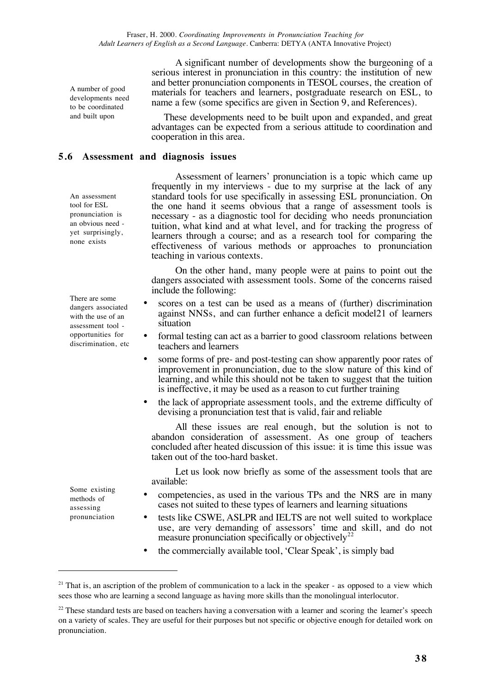> A significant number of developments show the burgeoning of a serious interest in pronunciation in this country: the institution of new and better pronunciation components in TESOL courses, the creation of materials for teachers and learners, postgraduate research on ESL, to name a few (some specifics are given in Section 9, and References).

> These developments need to be built upon and expanded, and great advantages can be expected from a serious attitude to coordination and cooperation in this area.

#### **5.6 Assessment and diagnosis issues**

An assessment tool for ESL pronunciation is an obvious need yet surprisingly, none exists

A number of good developments need to be coordinated and built upon

There are some dangers associated with the use of an assessment tool opportunities for discrimination, etc

Some existing methods of assessing pronunciation

 $\overline{a}$ 

Assessment of learners' pronunciation is a topic which came up frequently in my interviews - due to my surprise at the lack of any standard tools for use specifically in assessing ESL pronunciation. On the one hand it seems obvious that a range of assessment tools is necessary - as a diagnostic tool for deciding who needs pronunciation tuition, what kind and at what level, and for tracking the progress of learners through a course; and as a research tool for comparing the effectiveness of various methods or approaches to pronunciation teaching in various contexts.

On the other hand, many people were at pains to point out the dangers associated with assessment tools. Some of the concerns raised include the following:

- scores on a test can be used as a means of (further) discrimination against NNSs, and can further enhance a deficit model21 of learners situation
- formal testing can act as a barrier to good classroom relations between teachers and learners
- some forms of pre- and post-testing can show apparently poor rates of improvement in pronunciation, due to the slow nature of this kind of learning, and while this should not be taken to suggest that the tuition is ineffective, it may be used as a reason to cut further training
- the lack of appropriate assessment tools, and the extreme difficulty of devising a pronunciation test that is valid, fair and reliable

All these issues are real enough, but the solution is not to abandon consideration of assessment. As one group of teachers concluded after heated discussion of this issue: it is time this issue was taken out of the too-hard basket.

Let us look now briefly as some of the assessment tools that are available:

- competencies, as used in the various TPs and the NRS are in many cases not suited to these types of learners and learning situations
- tests like CSWE, ASLPR and IELTS are not well suited to workplace use, are very demanding of assessors' time and skill, and do not measure pronunciation specifically or objectively<sup>22</sup>
- the commercially available tool, 'Clear Speak', is simply bad

 $21$  That is, an ascription of the problem of communication to a lack in the speaker - as opposed to a view which sees those who are learning a second language as having more skills than the monolingual interlocutor.

 $22$  These standard tests are based on teachers having a conversation with a learner and scoring the learner's speech on a variety of scales. They are useful for their purposes but not specific or objective enough for detailed work on pronunciation.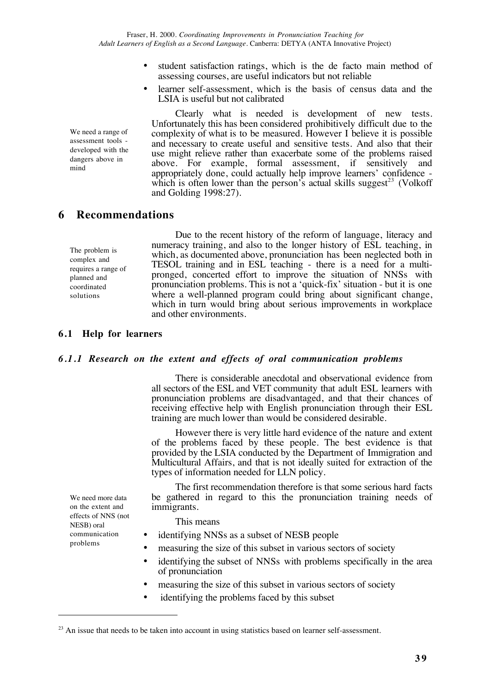- student satisfaction ratings, which is the de facto main method of assessing courses, are useful indicators but not reliable
- learner self-assessment, which is the basis of census data and the LSIA is useful but not calibrated

Clearly what is needed is development of new tests. Unfortunately this has been considered prohibitively difficult due to the complexity of what is to be measured. However I believe it is possible and necessary to create useful and sensitive tests. And also that their use might relieve rather than exacerbate some of the problems raised above. For example, formal assessment, if sensitively and appropriately done, could actually help improve learners' confidence which is often lower than the person's actual skills suggest<sup>23</sup> (Volkoff and Golding 1998:27).

## **6 Recommendations**

The problem is complex and requires a range of planned and coordinated solutions

We need a range of assessment tools developed with the dangers above in

mind

Due to the recent history of the reform of language, literacy and numeracy training, and also to the longer history of ESL teaching, in which, as documented above, pronunciation has been neglected both in TESOL training and in ESL teaching - there is a need for a multipronged, concerted effort to improve the situation of NNSs with pronunciation problems. This is not a 'quick-fix' situation - but it is one where a well-planned program could bring about significant change, which in turn would bring about serious improvements in workplace and other environments.

### **6.1 Help for learners**

#### *6.1.1 Research on the extent and effects of oral communication problems*

There is considerable anecdotal and observational evidence from all sectors of the ESL and VET community that adult ESL learners with pronunciation problems are disadvantaged, and that their chances of receiving effective help with English pronunciation through their ESL training are much lower than would be considered desirable.

However there is very little hard evidence of the nature and extent of the problems faced by these people. The best evidence is that provided by the LSIA conducted by the Department of Immigration and Multicultural Affairs, and that is not ideally suited for extraction of the types of information needed for LLN policy.

The first recommendation therefore is that some serious hard facts be gathered in regard to this the pronunciation training needs of immigrants.

#### This means

- identifying NNSs as a subset of NESB people
- measuring the size of this subset in various sectors of society
- identifying the subset of NNSs with problems specifically in the area of pronunciation
- measuring the size of this subset in various sectors of society
- identifying the problems faced by this subset

We need more data on the extent and effects of NNS (not NESB) oral communication problems

 $^{23}$  An issue that needs to be taken into account in using statistics based on learner self-assessment.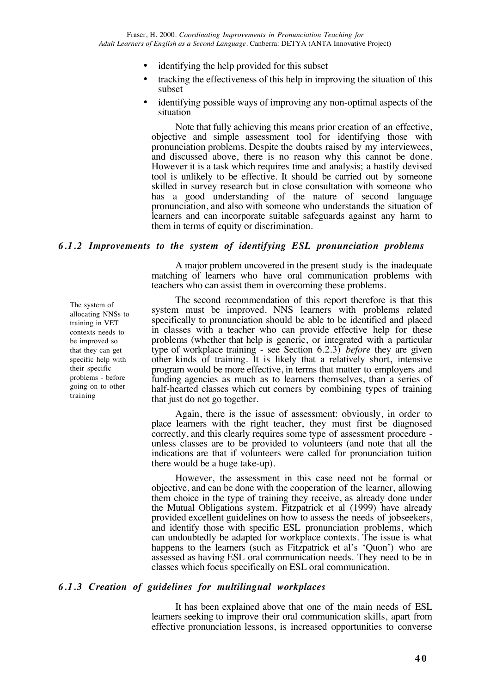- identifying the help provided for this subset
- tracking the effectiveness of this help in improving the situation of this subset
- identifying possible ways of improving any non-optimal aspects of the situation

Note that fully achieving this means prior creation of an effective, objective and simple assessment tool for identifying those with pronunciation problems. Despite the doubts raised by my interviewees, and discussed above, there is no reason why this cannot be done. However it is a task which requires time and analysis; a hastily devised tool is unlikely to be effective. It should be carried out by someone skilled in survey research but in close consultation with someone who has a good understanding of the nature of second language pronunciation, and also with someone who understands the situation of learners and can incorporate suitable safeguards against any harm to them in terms of equity or discrimination.

### *6.1.2 Improvements to the system of identifying ESL pronunciation problems*

A major problem uncovered in the present study is the inadequate matching of learners who have oral communication problems with teachers who can assist them in overcoming these problems.

The second recommendation of this report therefore is that this system must be improved. NNS learners with problems related specifically to pronunciation should be able to be identified and placed in classes with a teacher who can provide effective help for these problems (whether that help is generic, or integrated with a particular type of workplace training - see Section 6.2.3) *before* they are given other kinds of training. It is likely that a relatively short, intensive program would be more effective, in terms that matter to employers and funding agencies as much as to learners themselves, than a series of half-hearted classes which cut corners by combining types of training that just do not go together.

Again, there is the issue of assessment: obviously, in order to place learners with the right teacher, they must first be diagnosed correctly, and this clearly requires some type of assessment procedure unless classes are to be provided to volunteers (and note that all the indications are that if volunteers were called for pronunciation tuition there would be a huge take-up).

However, the assessment in this case need not be formal or objective, and can be done with the cooperation of the learner, allowing them choice in the type of training they receive, as already done under the Mutual Obligations system. Fitzpatrick et al (1999) have already provided excellent guidelines on how to assess the needs of jobseekers, and identify those with specific ESL pronunciation problems, which can undoubtedly be adapted for workplace contexts. The issue is what happens to the learners (such as Fitzpatrick et al's 'Quon') who are assessed as having ESL oral communication needs. They need to be in classes which focus specifically on ESL oral communication.

### *6.1.3 Creation of guidelines for multilingual workplaces*

It has been explained above that one of the main needs of ESL learners seeking to improve their oral communication skills, apart from effective pronunciation lessons, is increased opportunities to converse

The system of allocating NNSs to training in VET contexts needs to be improved so that they can get specific help with their specific problems - before going on to other training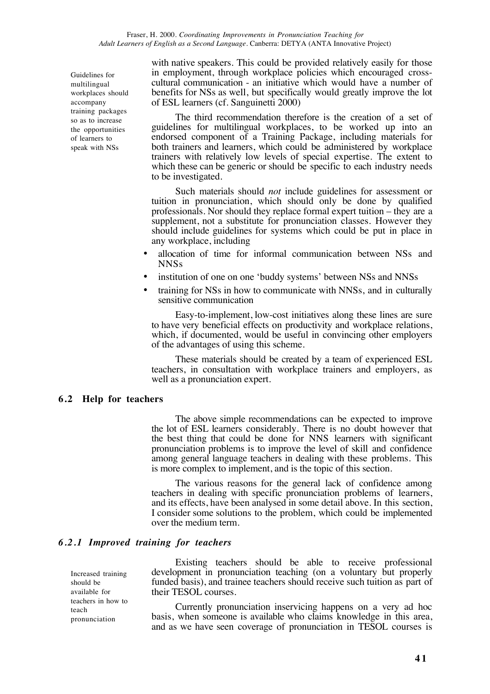Guidelines for multilingual workplaces should accompany training packages so as to increase the opportunities of learners to speak with NSs

with native speakers. This could be provided relatively easily for those in employment, through workplace policies which encouraged crosscultural communication - an initiative which would have a number of benefits for NSs as well, but specifically would greatly improve the lot of ESL learners (cf. Sanguinetti 2000)

The third recommendation therefore is the creation of a set of guidelines for multilingual workplaces, to be worked up into an endorsed component of a Training Package, including materials for both trainers and learners, which could be administered by workplace trainers with relatively low levels of special expertise. The extent to which these can be generic or should be specific to each industry needs to be investigated.

Such materials should *not* include guidelines for assessment or tuition in pronunciation, which should only be done by qualified professionals. Nor should they replace formal expert tuition – they are a supplement, not a substitute for pronunciation classes. However they should include guidelines for systems which could be put in place in any workplace, including

- allocation of time for informal communication between NSs and NNSs
- institution of one on one 'buddy systems' between NSs and NNSs
- training for NSs in how to communicate with NNSs, and in culturally sensitive communication

Easy-to-implement, low-cost initiatives along these lines are sure to have very beneficial effects on productivity and workplace relations, which, if documented, would be useful in convincing other employers of the advantages of using this scheme.

These materials should be created by a team of experienced ESL teachers, in consultation with workplace trainers and employers, as well as a pronunciation expert.

#### **6.2 Help for teachers**

The above simple recommendations can be expected to improve the lot of ESL learners considerably. There is no doubt however that the best thing that could be done for NNS learners with significant pronunciation problems is to improve the level of skill and confidence among general language teachers in dealing with these problems. This is more complex to implement, and is the topic of this section.

The various reasons for the general lack of confidence among teachers in dealing with specific pronunciation problems of learners, and its effects, have been analysed in some detail above. In this section, I consider some solutions to the problem, which could be implemented over the medium term.

## *6.2.1 Improved training for teachers*

Increased training should be available for teachers in how to teach pronunciation

Existing teachers should be able to receive professional development in pronunciation teaching (on a voluntary but properly funded basis), and trainee teachers should receive such tuition as part of their TESOL courses.

Currently pronunciation inservicing happens on a very ad hoc basis, when someone is available who claims knowledge in this area, and as we have seen coverage of pronunciation in TESOL courses is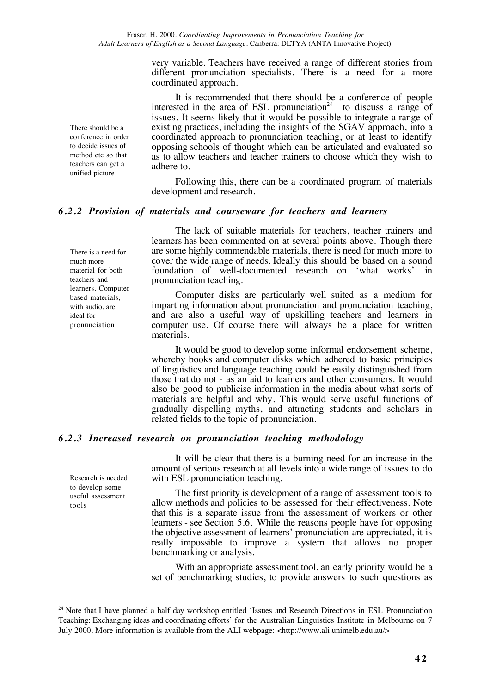very variable. Teachers have received a range of different stories from different pronunciation specialists. There is a need for a more coordinated approach.

It is recommended that there should be a conference of people interested in the area of ESL pronunciation<sup>24</sup> to discuss a range of issues. It seems likely that it would be possible to integrate a range of existing practices, including the insights of the SGAV approach, into a coordinated approach to pronunciation teaching, or at least to identify opposing schools of thought which can be articulated and evaluated so as to allow teachers and teacher trainers to choose which they wish to adhere to.

Following this, there can be a coordinated program of materials development and research.

#### *6.2.2 Provision of materials and courseware for teachers and learners*

There is a need for much more material for both teachers and learners. Computer based materials, with audio, are ideal for pronunciation

There should be a conference in order to decide issues of method etc so that teachers can get a unified picture

> The lack of suitable materials for teachers, teacher trainers and learners has been commented on at several points above. Though there are some highly commendable materials, there is need for much more to cover the wide range of needs. Ideally this should be based on a sound foundation of well-documented research on 'what works' pronunciation teaching.

> Computer disks are particularly well suited as a medium for imparting information about pronunciation and pronunciation teaching, and are also a useful way of upskilling teachers and learners in computer use. Of course there will always be a place for written materials.

> It would be good to develop some informal endorsement scheme, whereby books and computer disks which adhered to basic principles of linguistics and language teaching could be easily distinguished from those that do not - as an aid to learners and other consumers. It would also be good to publicise information in the media about what sorts of materials are helpful and why. This would serve useful functions of gradually dispelling myths, and attracting students and scholars in related fields to the topic of pronunciation.

### *6.2.3 Increased research on pronunciation teaching methodology*

It will be clear that there is a burning need for an increase in the amount of serious research at all levels into a wide range of issues to do with ESL pronunciation teaching.

The first priority is development of a range of assessment tools to allow methods and policies to be assessed for their effectiveness. Note that this is a separate issue from the assessment of workers or other learners - see Section 5.6. While the reasons people have for opposing the objective assessment of learners' pronunciation are appreciated, it is really impossible to improve a system that allows no proper benchmarking or analysis.

With an appropriate assessment tool, an early priority would be a set of benchmarking studies, to provide answers to such questions as

useful assessment tools

Research is needed to develop some

<sup>&</sup>lt;sup>24</sup> Note that I have planned a half day workshop entitled 'Issues and Research Directions in ESL Pronunciation Teaching: Exchanging ideas and coordinating efforts' for the Australian Linguistics Institute in Melbourne on 7 July 2000. More information is available from the ALI webpage: <http://www.ali.unimelb.edu.au/>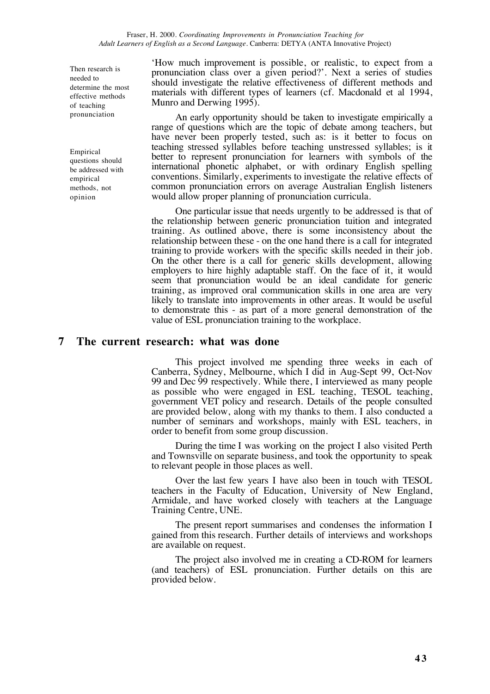Then research is needed to determine the most effective methods of teaching pronunciation

Empirical questions should be addressed with empirical methods, not opinion

'How much improvement is possible, or realistic, to expect from a pronunciation class over a given period?'. Next a series of studies should investigate the relative effectiveness of different methods and materials with different types of learners (cf. Macdonald et al 1994, Munro and Derwing 1995).

An early opportunity should be taken to investigate empirically a range of questions which are the topic of debate among teachers, but have never been properly tested, such as: is it better to focus on teaching stressed syllables before teaching unstressed syllables; is it better to represent pronunciation for learners with symbols of the international phonetic alphabet, or with ordinary English spelling conventions. Similarly, experiments to investigate the relative effects of common pronunciation errors on average Australian English listeners would allow proper planning of pronunciation curricula.

One particular issue that needs urgently to be addressed is that of the relationship between generic pronunciation tuition and integrated training. As outlined above, there is some inconsistency about the relationship between these - on the one hand there is a call for integrated training to provide workers with the specific skills needed in their job. On the other there is a call for generic skills development, allowing employers to hire highly adaptable staff. On the face of it, it would seem that pronunciation would be an ideal candidate for generic training, as improved oral communication skills in one area are very likely to translate into improvements in other areas. It would be useful to demonstrate this - as part of a more general demonstration of the value of ESL pronunciation training to the workplace.

## **7 The current research: what was done**

This project involved me spending three weeks in each of Canberra, Sydney, Melbourne, which I did in Aug-Sept 99, Oct-Nov 99 and Dec 99 respectively. While there, I interviewed as many people as possible who were engaged in ESL teaching, TESOL teaching, government VET policy and research. Details of the people consulted are provided below, along with my thanks to them. I also conducted a number of seminars and workshops, mainly with ESL teachers, in order to benefit from some group discussion.

During the time I was working on the project I also visited Perth and Townsville on separate business, and took the opportunity to speak to relevant people in those places as well.

Over the last few years I have also been in touch with TESOL teachers in the Faculty of Education, University of New England, Armidale, and have worked closely with teachers at the Language Training Centre, UNE.

The present report summarises and condenses the information I gained from this research. Further details of interviews and workshops are available on request.

The project also involved me in creating a CD-ROM for learners (and teachers) of ESL pronunciation. Further details on this are provided below.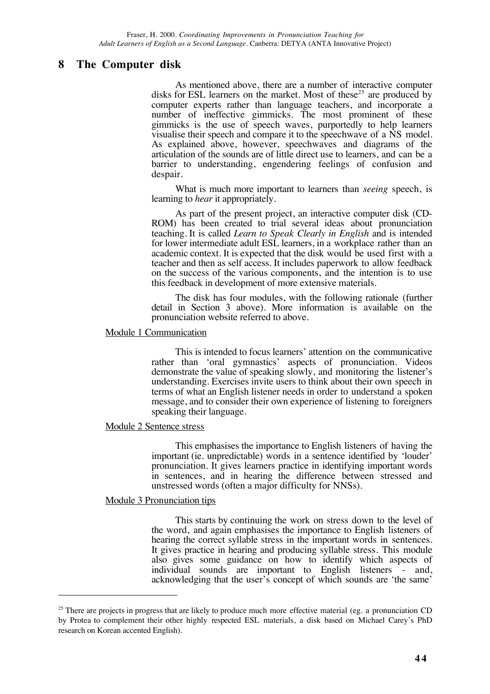## **8 The Computer disk**

As mentioned above, there are a number of interactive computer disks for ESL learners on the market. Most of these<sup>25</sup> are produced by computer experts rather than language teachers, and incorporate a number of ineffective gimmicks. The most prominent of these gimmicks is the use of speech waves, purportedly to help learners visualise their speech and compare it to the speechwave of a NS model. As explained above, however, speechwaves and diagrams of the articulation of the sounds are of little direct use to learners, and can be a barrier to understanding, engendering feelings of confusion and despair.

What is much more important to learners than *seeing* speech, is learning to *hear* it appropriately.

As part of the present project, an interactive computer disk (CD-ROM) has been created to trial several ideas about pronunciation teaching. It is called *Learn to Speak Clearly in English* and is intended for lower intermediate adult ESL learners, in a workplace rather than an academic context. It is expected that the disk would be used first with a teacher and then as self access. It includes paperwork to allow feedback on the success of the various components, and the intention is to use this feedback in development of more extensive materials.

The disk has four modules, with the following rationale (further detail in Section 3 above). More information is available on the pronunciation website referred to above.

#### Module 1 Communication

This is intended to focus learners' attention on the communicative rather than 'oral gymnastics' aspects of pronunciation. Videos demonstrate the value of speaking slowly, and monitoring the listener's understanding. Exercises invite users to think about their own speech in terms of what an English listener needs in order to understand a spoken message, and to consider their own experience of listening to foreigners speaking their language.

#### Module 2 Sentence stress

This emphasises the importance to English listeners of having the important (ie. unpredictable) words in a sentence identified by 'louder' pronunciation. It gives learners practice in identifying important words in sentences, and in hearing the difference between stressed and unstressed words (often a major difficulty for NNSs).

#### Module 3 Pronunciation tips

 $\overline{a}$ 

This starts by continuing the work on stress down to the level of the word, and again emphasises the importance to English listeners of hearing the correct syllable stress in the important words in sentences. It gives practice in hearing and producing syllable stress. This module also gives some guidance on how to identify which aspects of individual sounds are important to English listeners - and, acknowledging that the user's concept of which sounds are 'the same'

 $25$  There are projects in progress that are likely to produce much more effective material (eg. a pronunciation CD) by Protea to complement their other highly respected ESL materials, a disk based on Michael Carey's PhD research on Korean accented English).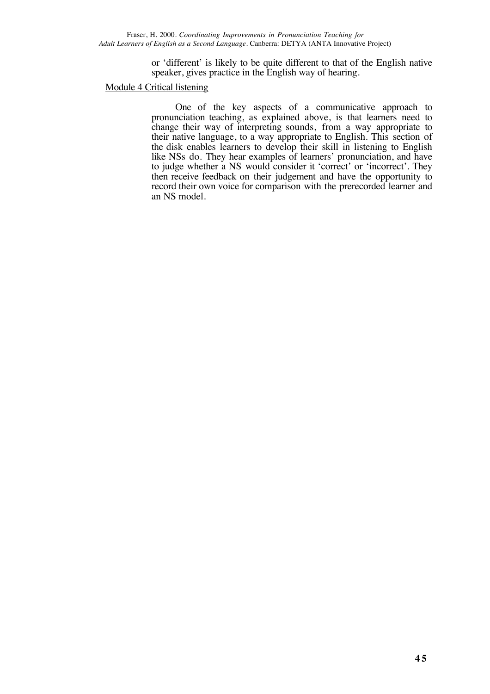or 'different' is likely to be quite different to that of the English native speaker, gives practice in the English way of hearing.

#### Module 4 Critical listening

One of the key aspects of a communicative approach to pronunciation teaching, as explained above, is that learners need to change their way of interpreting sounds, from a way appropriate to their native language, to a way appropriate to English. This section of the disk enables learners to develop their skill in listening to English like NSs do. They hear examples of learners' pronunciation, and have to judge whether a NS would consider it 'correct' or 'incorrect'. They then receive feedback on their judgement and have the opportunity to record their own voice for comparison with the prerecorded learner and an NS model.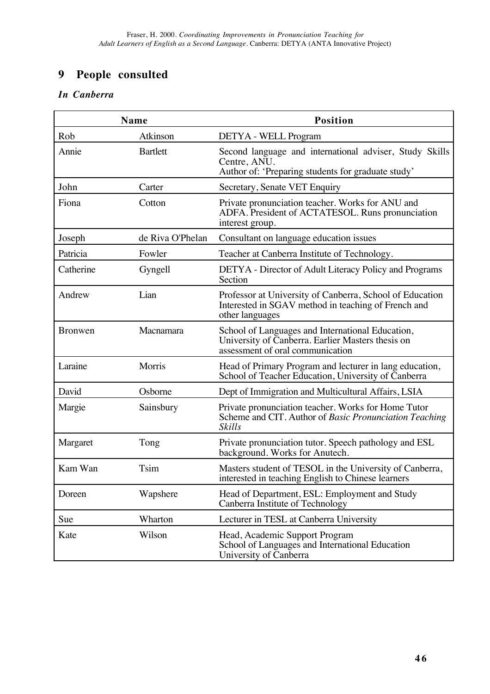# **9 People consulted**

## *In Canberra*

| <b>Name</b>    |                  | Position                                                                                                                                  |
|----------------|------------------|-------------------------------------------------------------------------------------------------------------------------------------------|
| Rob            | Atkinson         | DETYA - WELL Program                                                                                                                      |
| Annie          | <b>Bartlett</b>  | Second language and international adviser, Study Skills<br>Centre, ANU.<br>Author of: 'Preparing students for graduate study'             |
| John           | Carter           | Secretary, Senate VET Enquiry                                                                                                             |
| Fiona          | Cotton           | Private pronunciation teacher. Works for ANU and<br>ADFA. President of ACTATESOL. Runs pronunciation<br>interest group.                   |
| Joseph         | de Riva O'Phelan | Consultant on language education issues                                                                                                   |
| Patricia       | Fowler           | Teacher at Canberra Institute of Technology.                                                                                              |
| Catherine      | Gyngell          | DETYA - Director of Adult Literacy Policy and Programs<br>Section                                                                         |
| Andrew         | Lian             | Professor at University of Canberra, School of Education<br>Interested in SGAV method in teaching of French and<br>other languages        |
| <b>Bronwen</b> | Macnamara        | School of Languages and International Education,<br>University of Canberra. Earlier Masters thesis on<br>assessment of oral communication |
| Laraine        | Morris           | Head of Primary Program and lecturer in lang education,<br>School of Teacher Education, University of Canberra                            |
| David          | Osborne          | Dept of Immigration and Multicultural Affairs, LSIA                                                                                       |
| Margie         | Sainsbury        | Private pronunciation teacher. Works for Home Tutor<br>Scheme and CIT. Author of Basic Pronunciation Teaching<br><b>Skills</b>            |
| Margaret       | Tong             | Private pronunciation tutor. Speech pathology and ESL<br>background. Works for Anutech.                                                   |
| Kam Wan        | Tsim             | Masters student of TESOL in the University of Canberra,<br>interested in teaching English to Chinese learners                             |
| Doreen         | Wapshere         | Head of Department, ESL: Employment and Study<br>Canberra Institute of Technology                                                         |
| Sue            | Wharton          | Lecturer in TESL at Canberra University                                                                                                   |
| Kate           | Wilson           | Head, Academic Support Program<br>School of Languages and International Education<br>University of Canberra                               |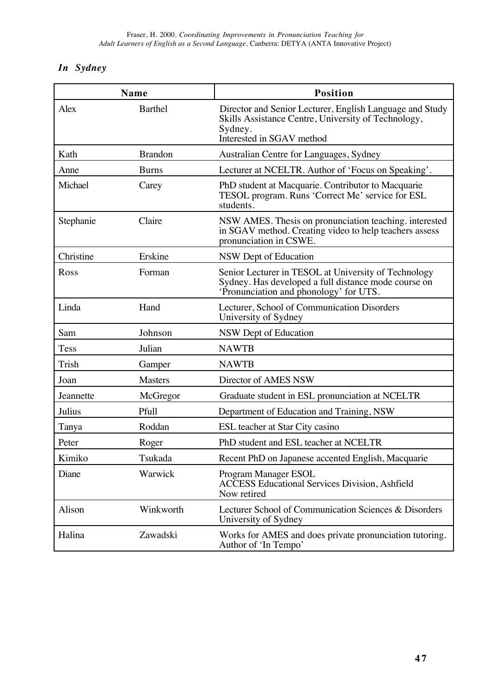## *In Sydney*

| <b>Name</b> |                | Position                                                                                                                                                |  |
|-------------|----------------|---------------------------------------------------------------------------------------------------------------------------------------------------------|--|
| Alex        | <b>Barthel</b> | Director and Senior Lecturer, English Language and Study<br>Skills Assistance Centre, University of Technology,<br>Sydney.<br>Interested in SGAV method |  |
| Kath        | <b>Brandon</b> | Australian Centre for Languages, Sydney                                                                                                                 |  |
| Anne        | <b>Burns</b>   | Lecturer at NCELTR. Author of 'Focus on Speaking'.                                                                                                      |  |
| Michael     | Carey          | PhD student at Macquarie. Contributor to Macquarie<br>TESOL program. Runs 'Correct Me' service for ESL<br>students.                                     |  |
| Stephanie   | Claire         | NSW AMES. Thesis on pronunciation teaching. interested<br>in SGAV method. Creating video to help teachers assess<br>pronunciation in CSWE.              |  |
| Christine   | Erskine        | NSW Dept of Education                                                                                                                                   |  |
| Ross        | Forman         | Senior Lecturer in TESOL at University of Technology<br>Sydney. Has developed a full distance mode course on<br>'Pronunciation and phonology' for UTS.  |  |
| Linda       | Hand           | Lecturer, School of Communication Disorders<br>University of Sydney                                                                                     |  |
| Sam         | Johnson        | NSW Dept of Education                                                                                                                                   |  |
| <b>Tess</b> | Julian         | <b>NAWTB</b>                                                                                                                                            |  |
| Trish       | Gamper         | <b>NAWTB</b>                                                                                                                                            |  |
| Joan        | <b>Masters</b> | Director of AMES NSW                                                                                                                                    |  |
| Jeannette   | McGregor       | Graduate student in ESL pronunciation at NCELTR                                                                                                         |  |
| Julius      | Pfull          | Department of Education and Training, NSW                                                                                                               |  |
| Tanya       | Roddan         | ESL teacher at Star City casino                                                                                                                         |  |
| Peter       | Roger          | PhD student and ESL teacher at NCELTR                                                                                                                   |  |
| Kimiko      | Tsukada        | Recent PhD on Japanese accented English, Macquarie                                                                                                      |  |
| Diane       | Warwick        | Program Manager ESOL<br><b>ACCESS Educational Services Division, Ashfield</b><br>Now retired                                                            |  |
| Alison      | Winkworth      | Lecturer School of Communication Sciences & Disorders<br>University of Sydney                                                                           |  |
| Halina      | Zawadski       | Works for AMES and does private pronunciation tutoring.<br>Author of 'In Tempo'                                                                         |  |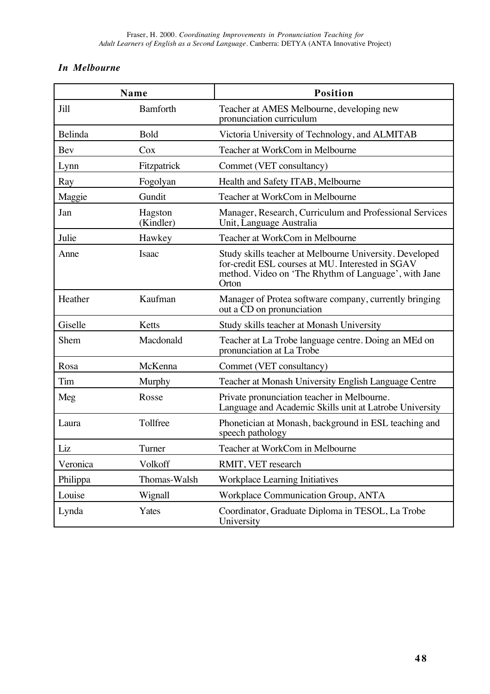## *In Melbourne*

| <b>Name</b> |                      | Position                                                                                                                                                                     |  |
|-------------|----------------------|------------------------------------------------------------------------------------------------------------------------------------------------------------------------------|--|
| Jill        | Bamforth             | Teacher at AMES Melbourne, developing new<br>pronunciation curriculum                                                                                                        |  |
| Belinda     | <b>Bold</b>          | Victoria University of Technology, and ALMITAB                                                                                                                               |  |
| Bev         | Cox                  | Teacher at WorkCom in Melbourne                                                                                                                                              |  |
| Lynn        | Fitzpatrick          | Commet (VET consultancy)                                                                                                                                                     |  |
| Ray         | Fogolyan             | Health and Safety ITAB, Melbourne                                                                                                                                            |  |
| Maggie      | Gundit               | Teacher at WorkCom in Melbourne                                                                                                                                              |  |
| Jan         | Hagston<br>(Kindler) | Manager, Research, Curriculum and Professional Services<br>Unit, Language Australia                                                                                          |  |
| Julie       | Hawkey               | Teacher at WorkCom in Melbourne                                                                                                                                              |  |
| Anne        | Isaac                | Study skills teacher at Melbourne University. Developed<br>for-credit ESL courses at MU. Interested in SGAV<br>method. Video on 'The Rhythm of Language', with Jane<br>Orton |  |
| Heather     | Kaufman              | Manager of Protea software company, currently bringing<br>out a CD on pronunciation                                                                                          |  |
| Giselle     | Ketts                | Study skills teacher at Monash University                                                                                                                                    |  |
| Shem        | Macdonald            | Teacher at La Trobe language centre. Doing an MEd on<br>pronunciation at La Trobe                                                                                            |  |
| Rosa        | McKenna              | Commet (VET consultancy)                                                                                                                                                     |  |
| Tim         | <b>Murphy</b>        | Teacher at Monash University English Language Centre                                                                                                                         |  |
| Meg         | Rosse                | Private pronunciation teacher in Melbourne.<br>Language and Academic Skills unit at Latrobe University                                                                       |  |
| Laura       | Tollfree             | Phonetician at Monash, background in ESL teaching and<br>speech pathology                                                                                                    |  |
| Liz         | Turner               | Teacher at WorkCom in Melbourne                                                                                                                                              |  |
| Veronica    | Volkoff              | RMIT, VET research                                                                                                                                                           |  |
| Philippa    | Thomas-Walsh         | Workplace Learning Initiatives                                                                                                                                               |  |
| Louise      | Wignall              | Workplace Communication Group, ANTA                                                                                                                                          |  |
| Lynda       | Yates                | Coordinator, Graduate Diploma in TESOL, La Trobe<br>University                                                                                                               |  |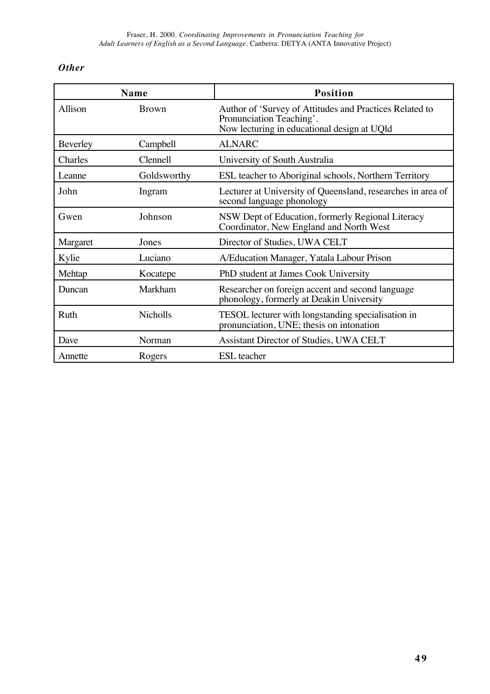## *Other*

| <b>Name</b> |                 | <b>Position</b>                                                                                                                    |
|-------------|-----------------|------------------------------------------------------------------------------------------------------------------------------------|
| Allison     | <b>Brown</b>    | Author of 'Survey of Attitudes and Practices Related to<br>Pronunciation Teaching'.<br>Now lecturing in educational design at UQId |
| Beverley    | Campbell        | <b>ALNARC</b>                                                                                                                      |
| Charles     | <b>Clennell</b> | University of South Australia                                                                                                      |
| Leanne      | Goldsworthy     | ESL teacher to Aboriginal schools, Northern Territory                                                                              |
| John        | Ingram          | Lecturer at University of Queensland, researches in area of<br>second language phonology                                           |
| Gwen        | Johnson         | NSW Dept of Education, formerly Regional Literacy<br>Coordinator, New England and North West                                       |
| Margaret    | Jones           | Director of Studies, UWA CELT                                                                                                      |
| Kylie       | Luciano         | A/Education Manager, Yatala Labour Prison                                                                                          |
| Mehtap      | Kocatepe        | PhD student at James Cook University                                                                                               |
| Duncan      | Markham         | Researcher on foreign accent and second language<br>phonology, formerly at Deakin University                                       |
| Ruth        | <b>Nicholls</b> | TESOL lecturer with longstanding specialisation in<br>pronunciation, UNE; thesis on intonation                                     |
| Dave        | Norman          | Assistant Director of Studies, UWA CELT                                                                                            |
| Annette     | Rogers          | <b>ESL</b> teacher                                                                                                                 |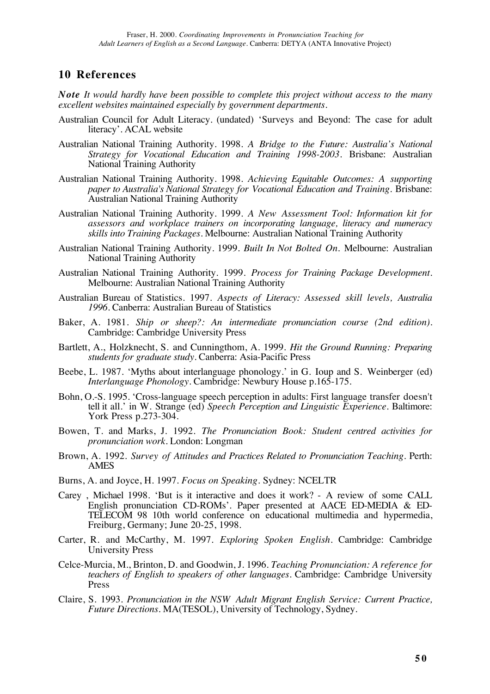## **10 References**

*Note It would hardly have been possible to complete this project without access to the many excellent websites maintained especially by government departments.*

- Australian Council for Adult Literacy. (undated) 'Surveys and Beyond: The case for adult literacy'. ACAL website
- Australian National Training Authority. 1998. *A Bridge to the Future: Australia's National Strategy for Vocational Education and Training 1998-2003.* Brisbane: Australian National Training Authority
- Australian National Training Authority. 1998. *Achieving Equitable Outcomes: A supporting paper to Australia's National Strategy for Vocational Education and Training*. Brisbane: Australian National Training Authority
- Australian National Training Authority. 1999. *A New Assessment Tool: Information kit for assessors and workplace trainers on incorporating language, literacy and numeracy skills into Training Packages*. Melbourne: Australian National Training Authority
- Australian National Training Authority. 1999. *Built In Not Bolted On*. Melbourne: Australian National Training Authority
- Australian National Training Authority. 1999. *Process for Training Package Development*. Melbourne: Australian National Training Authority
- Australian Bureau of Statistics. 1997. *Aspects of Literacy: Assessed skill levels, Australia 1996*. Canberra: Australian Bureau of Statistics
- Baker, A. 1981. *Ship or sheep?: An intermediate pronunciation course (2nd edition)*. Cambridge: Cambridge University Press
- Bartlett, A., Holzknecht, S. and Cunningthom, A. 1999. *Hit the Ground Running: Preparing students for graduate study*. Canberra: Asia-Pacific Press
- Beebe, L. 1987. 'Myths about interlanguage phonology.' in G. Ioup and S. Weinberger (ed) *Interlanguage Phonology*. Cambridge: Newbury House p.165-175.
- Bohn, O.-S. 1995. 'Cross-language speech perception in adults: First language transfer doesn't tell it all.' in W. Strange (ed) *Speech Perception and Linguistic Experience*. Baltimore: York Press p.273-304.
- Bowen, T. and Marks, J. 1992. *The Pronunciation Book: Student centred activities for pronunciation work*. London: Longman
- Brown, A. 1992. *Survey of Attitudes and Practices Related to Pronunciation Teaching*. Perth: AMES
- Burns, A. and Joyce, H. 1997. *Focus on Speaking*. Sydney: NCELTR
- Carey , Michael 1998. 'But is it interactive and does it work? A review of some CALL English pronunciation CD-ROMs'. Paper presented at AACE ED-MEDIA & ED-TELECOM 98 10th world conference on educational multimedia and hypermedia, Freiburg, Germany; June 20-25, 1998.
- Carter, R. and McCarthy, M. 1997. *Exploring Spoken English*. Cambridge: Cambridge University Press
- Celce-Murcia, M., Brinton, D. and Goodwin, J. 1996. *Teaching Pronunciation: A reference for teachers of English to speakers of other languages*. Cambridge: Cambridge University Press
- Claire, S. 1993. *Pronunciation in the NSW Adult Migrant English Service: Current Practice, Future Directions.* MA(TESOL), University of Technology, Sydney.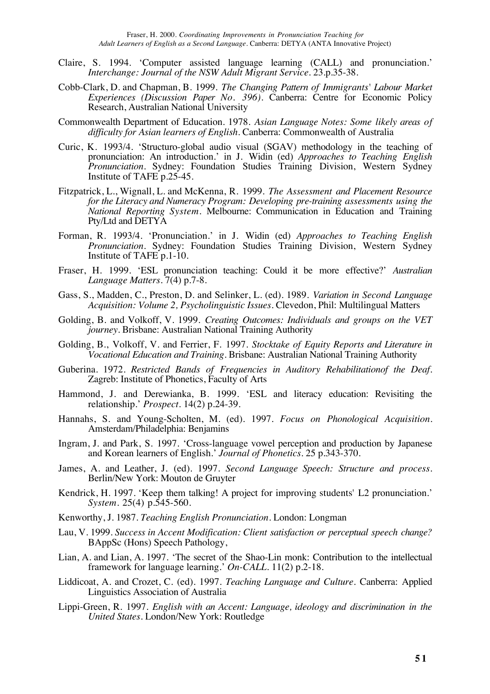- Claire, S. 1994. 'Computer assisted language learning (CALL) and pronunciation.' *Interchange: Journal of the NSW Adult Migrant Service*. 23.p.35-38.
- Cobb-Clark, D. and Chapman, B. 1999. *The Changing Pattern of Immigrants' Labour Market Experiences (Discussion Paper No. 396)*. Canberra: Centre for Economic Policy Research, Australian National University
- Commonwealth Department of Education. 1978. *Asian Language Notes: Some likely areas of difficulty for Asian learners of English.* Canberra: Commonwealth of Australia
- Curic, K. 1993/4. 'Structuro-global audio visual (SGAV) methodology in the teaching of pronunciation: An introduction.' in J. Widin (ed) *Approaches to Teaching English Pronunciation*. Sydney: Foundation Studies Training Division, Western Sydney Institute of TAFE p.25-45.
- Fitzpatrick, L., Wignall, L. and McKenna, R. 1999. *The Assessment and Placement Resource for the Literacy and Numeracy Program: Developing pre-training assessments using the National Reporting System*. Melbourne: Communication in Education and Training Pty/Ltd and DETYA
- Forman, R. 1993/4. 'Pronunciation.' in J. Widin (ed) *Approaches to Teaching English Pronunciation*. Sydney: Foundation Studies Training Division, Western Sydney Institute of TAFE p.1-10.
- Fraser, H. 1999. 'ESL pronunciation teaching: Could it be more effective?' *Australian Language Matters*. 7(4) p.7-8.
- Gass, S., Madden, C., Preston, D. and Selinker, L. (ed). 1989. *Variation in Second Language Acquisition: Volume 2, Psycholinguistic Issues.* Clevedon, Phil: Multilingual Matters
- Golding, B. and Volkoff, V. 1999. *Creating Outcomes: Individuals and groups on the VET journey*. Brisbane: Australian National Training Authority
- Golding, B., Volkoff, V. and Ferrier, F. 1997. *Stocktake of Equity Reports and Literature in Vocational Education and Training*. Brisbane: Australian National Training Authority
- Guberina. 1972. *Restricted Bands of Frequencies in Auditory Rehabilitationof the Deaf*. Zagreb: Institute of Phonetics, Faculty of Arts
- Hammond, J. and Derewianka, B. 1999. 'ESL and literacy education: Revisiting the relationship.' *Prospect*. 14(2) p.24-39.
- Hannahs, S. and Young-Scholten, M. (ed). 1997. *Focus on Phonological Acquisition.* Amsterdam/Philadelphia: Benjamins
- Ingram, J. and Park, S. 1997. 'Cross-language vowel perception and production by Japanese and Korean learners of English.' *Journal of Phonetics*. 25 p.343-370.
- James, A. and Leather, J. (ed). 1997. *Second Language Speech: Structure and process.* Berlin/New York: Mouton de Gruyter
- Kendrick, H. 1997. 'Keep them talking! A project for improving students' L2 pronunciation.' *System*. 25(4) p.545-560.
- Kenworthy, J. 1987. *Teaching English Pronunciation*. London: Longman
- Lau, V. 1999. *Success in Accent Modification: Client satisfaction or perceptual speech change?* BAppSc (Hons) Speech Pathology,
- Lian, A. and Lian, A. 1997. 'The secret of the Shao-Lin monk: Contribution to the intellectual framework for language learning.' *On-CALL*. 11(2) p.2-18.
- Liddicoat, A. and Crozet, C. (ed). 1997. *Teaching Language and Culture.* Canberra: Applied Linguistics Association of Australia
- Lippi-Green, R. 1997. *English with an Accent: Language, ideology and discrimination in the United States*. London/New York: Routledge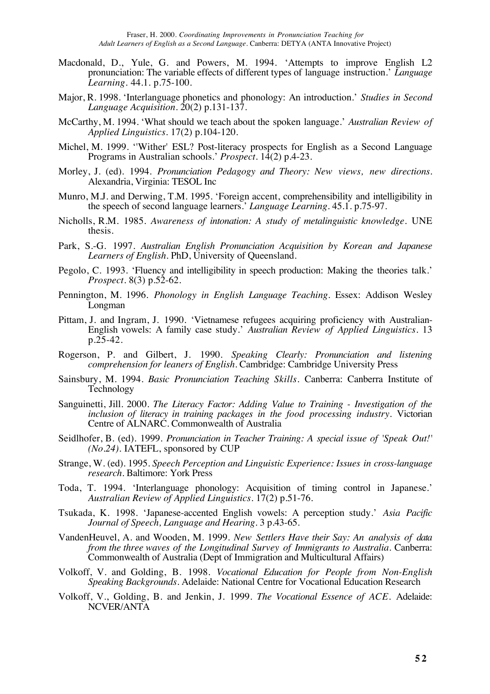- Macdonald, D., Yule, G. and Powers, M. 1994. 'Attempts to improve English L2 pronunciation: The variable effects of different types of language instruction.' *Language Learning*. 44.1. p.75-100.
- Major, R. 1998. 'Interlanguage phonetics and phonology: An introduction.' *Studies in Second Language Acquisition*. 20(2) p.131-137.
- McCarthy, M. 1994. 'What should we teach about the spoken language.' *Australian Review of Applied Linguistics*. 17(2) p.104-120.
- Michel, M. 1999. ''Wither' ESL? Post-literacy prospects for English as a Second Language Programs in Australian schools.' *Prospect*. 14(2) p.4-23.
- Morley, J. (ed). 1994. *Pronunciation Pedagogy and Theory: New views, new directions.* Alexandria, Virginia: TESOL Inc
- Munro, M.J. and Derwing, T.M. 1995. 'Foreign accent, comprehensibility and intelligibility in the speech of second language learners.' *Language Learning*. 45.1. p.75-97.
- Nicholls, R.M. 1985. *Awareness of intonation: A study of metalinguistic knowledge.* UNE thesis.
- Park, S.-G. 1997. *Australian English Pronunciation Acquisition by Korean and Japanese* Learners of English. PhD, University of Queensland.
- Pegolo, C. 1993. 'Fluency and intelligibility in speech production: Making the theories talk.' *Prospect*. 8(3) p.52-62.
- Pennington, M. 1996. *Phonology in English Language Teaching*. Essex: Addison Wesley Longman
- Pittam, J. and Ingram, J. 1990. 'Vietnamese refugees acquiring proficiency with Australian-English vowels: A family case study.' *Australian Review of Applied Linguistics*. 13 p.25-42.
- Rogerson, P. and Gilbert, J. 1990. *Speaking Clearly: Pronunciation and listening comprehension for leaners of English*. Cambridge: Cambridge University Press
- Sainsbury, M. 1994. *Basic Pronunciation Teaching Skills*. Canberra: Canberra Institute of Technology
- Sanguinetti, Jill. 2000. *The Literacy Factor: Adding Value to Training Investigation of the inclusion of literacy in training packages in the food processing industry*. Victorian Centre of ALNARC. Commonwealth of Australia
- Seidlhofer, B. (ed). 1999. *Pronunciation in Teacher Training: A special issue of 'Speak Out!' (No.24).* IATEFL, sponsored by CUP
- Strange, W. (ed). 1995. *Speech Perception and Linguistic Experience: Issues in cross-language research.* Baltimore: York Press
- Toda, T. 1994. 'Interlanguage phonology: Acquisition of timing control in Japanese.' *Australian Review of Applied Linguistics*. 17(2) p.51-76.
- Tsukada, K. 1998. 'Japanese-accented English vowels: A perception study.' *Asia Pacific Journal of Speech, Language and Hearing*. 3 p.43-65.
- VandenHeuvel, A. and Wooden, M. 1999. *New Settlers Have their Say: An analysis of data from the three waves of the Longitudinal Survey of Immigrants to Australia*. Canberra: Commonwealth of Australia (Dept of Immigration and Multicultural Affairs)
- Volkoff, V. and Golding, B. 1998. *Vocational Education for People from Non-English Speaking Backgrounds*. Adelaide: National Centre for Vocational Education Research
- Volkoff, V., Golding, B. and Jenkin, J. 1999. *The Vocational Essence of ACE*. Adelaide: NCVER/ANTA